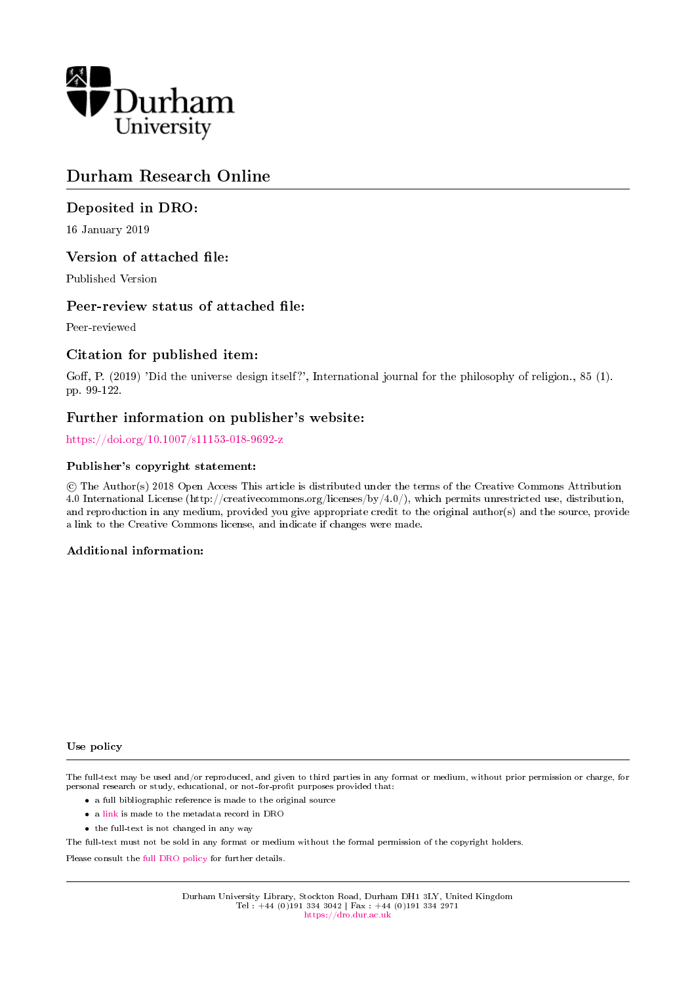

# Durham Research Online

## Deposited in DRO:

16 January 2019

## Version of attached file:

Published Version

## Peer-review status of attached file:

Peer-reviewed

## Citation for published item:

Goff, P. (2019) 'Did the universe design itself?', International journal for the philosophy of religion., 85 (1). pp. 99-122.

## Further information on publisher's website:

<https://doi.org/10.1007/s11153-018-9692-z>

## Publisher's copyright statement:

 c The Author(s) 2018 Open Access This article is distributed under the terms of the Creative Commons Attribution 4.0 International License (http://creativecommons.org/licenses/by/4.0/), which permits unrestricted use, distribution, and reproduction in any medium, provided you give appropriate credit to the original author(s) and the source, provide a link to the Creative Commons license, and indicate if changes were made.

## Additional information:

#### Use policy

The full-text may be used and/or reproduced, and given to third parties in any format or medium, without prior permission or charge, for personal research or study, educational, or not-for-profit purposes provided that:

- a full bibliographic reference is made to the original source
- a [link](http://dro.dur.ac.uk/26904/) is made to the metadata record in DRO
- the full-text is not changed in any way

The full-text must not be sold in any format or medium without the formal permission of the copyright holders.

Please consult the [full DRO policy](https://dro.dur.ac.uk/policies/usepolicy.pdf) for further details.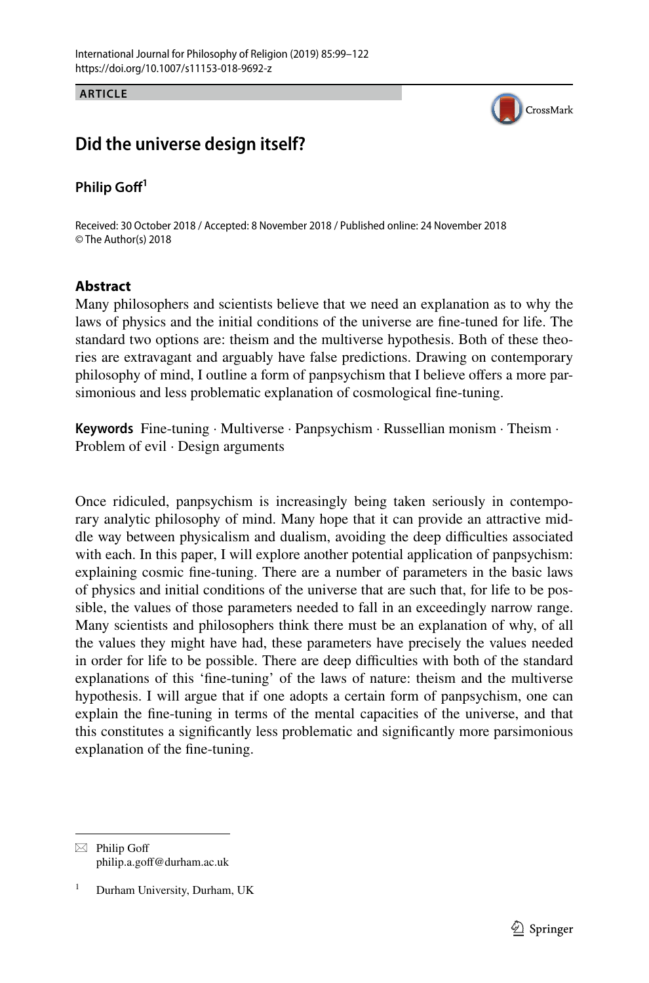**ARTICLE**



## **Did the universe design itself?**

### **Philip Gof<sup>1</sup>**

Received: 30 October 2018 / Accepted: 8 November 2018 / Published online: 24 November 2018 © The Author(s) 2018

### **Abstract**

Many philosophers and scientists believe that we need an explanation as to why the laws of physics and the initial conditions of the universe are fne-tuned for life. The standard two options are: theism and the multiverse hypothesis. Both of these theories are extravagant and arguably have false predictions. Drawing on contemporary philosophy of mind, I outline a form of panpsychism that I believe ofers a more parsimonious and less problematic explanation of cosmological fne-tuning.

**Keywords** Fine-tuning · Multiverse · Panpsychism · Russellian monism · Theism · Problem of evil · Design arguments

Once ridiculed, panpsychism is increasingly being taken seriously in contemporary analytic philosophy of mind. Many hope that it can provide an attractive middle way between physicalism and dualism, avoiding the deep difculties associated with each. In this paper, I will explore another potential application of panpsychism: explaining cosmic fne-tuning. There are a number of parameters in the basic laws of physics and initial conditions of the universe that are such that, for life to be possible, the values of those parameters needed to fall in an exceedingly narrow range. Many scientists and philosophers think there must be an explanation of why, of all the values they might have had, these parameters have precisely the values needed in order for life to be possible. There are deep difficulties with both of the standard explanations of this 'fne-tuning' of the laws of nature: theism and the multiverse hypothesis. I will argue that if one adopts a certain form of panpsychism, one can explain the fne-tuning in terms of the mental capacities of the universe, and that this constitutes a signifcantly less problematic and signifcantly more parsimonious explanation of the fne-tuning.

 $\boxtimes$  Philip Goff philip.a.gof@durham.ac.uk

Durham University, Durham, UK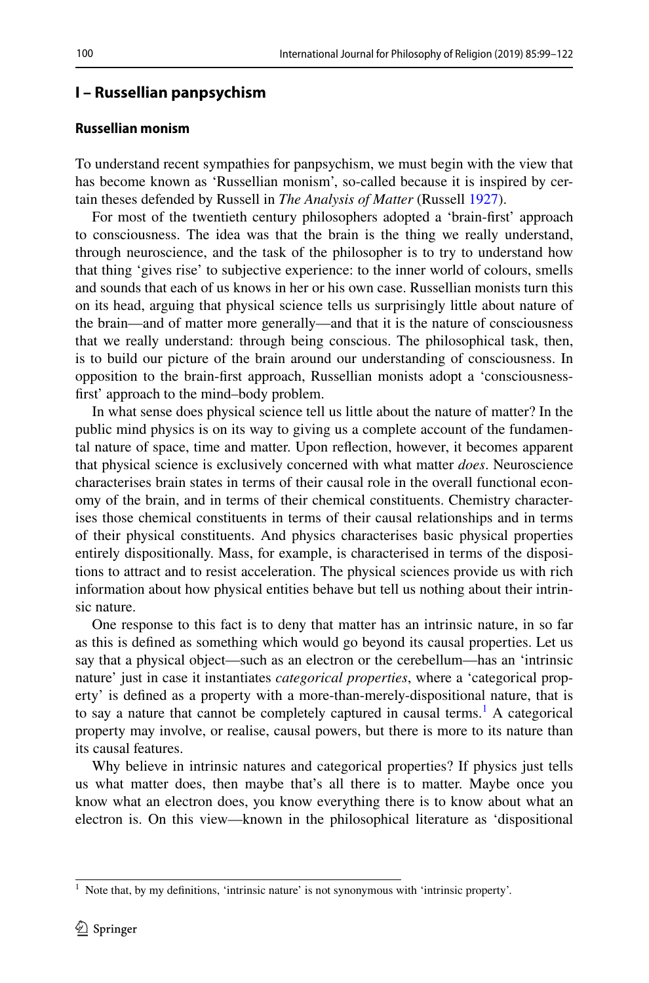#### **I – Russellian panpsychism**

#### **Russellian monism**

To understand recent sympathies for panpsychism, we must begin with the view that has become known as 'Russellian monism', so-called because it is inspired by certain theses defended by Russell in *The Analysis of Matter* (Russell [1927\)](#page-24-0).

For most of the twentieth century philosophers adopted a 'brain-frst' approach to consciousness. The idea was that the brain is the thing we really understand, through neuroscience, and the task of the philosopher is to try to understand how that thing 'gives rise' to subjective experience: to the inner world of colours, smells and sounds that each of us knows in her or his own case. Russellian monists turn this on its head, arguing that physical science tells us surprisingly little about nature of the brain—and of matter more generally—and that it is the nature of consciousness that we really understand: through being conscious. The philosophical task, then, is to build our picture of the brain around our understanding of consciousness. In opposition to the brain-frst approach, Russellian monists adopt a 'consciousnessfrst' approach to the mind–body problem.

In what sense does physical science tell us little about the nature of matter? In the public mind physics is on its way to giving us a complete account of the fundamental nature of space, time and matter. Upon refection, however, it becomes apparent that physical science is exclusively concerned with what matter *does*. Neuroscience characterises brain states in terms of their causal role in the overall functional economy of the brain, and in terms of their chemical constituents. Chemistry characterises those chemical constituents in terms of their causal relationships and in terms of their physical constituents. And physics characterises basic physical properties entirely dispositionally. Mass, for example, is characterised in terms of the dispositions to attract and to resist acceleration. The physical sciences provide us with rich information about how physical entities behave but tell us nothing about their intrinsic nature.

One response to this fact is to deny that matter has an intrinsic nature, in so far as this is defned as something which would go beyond its causal properties. Let us say that a physical object—such as an electron or the cerebellum—has an 'intrinsic nature' just in case it instantiates *categorical properties*, where a 'categorical property' is defned as a property with a more-than-merely-dispositional nature, that is to say a nature that cannot be completely captured in causal terms.<sup>[1](#page-2-0)</sup> A categorical property may involve, or realise, causal powers, but there is more to its nature than its causal features.

Why believe in intrinsic natures and categorical properties? If physics just tells us what matter does, then maybe that's all there is to matter. Maybe once you know what an electron does, you know everything there is to know about what an electron is. On this view—known in the philosophical literature as 'dispositional

<span id="page-2-0"></span><sup>&</sup>lt;sup>1</sup> Note that, by my definitions, 'intrinsic nature' is not synonymous with 'intrinsic property'.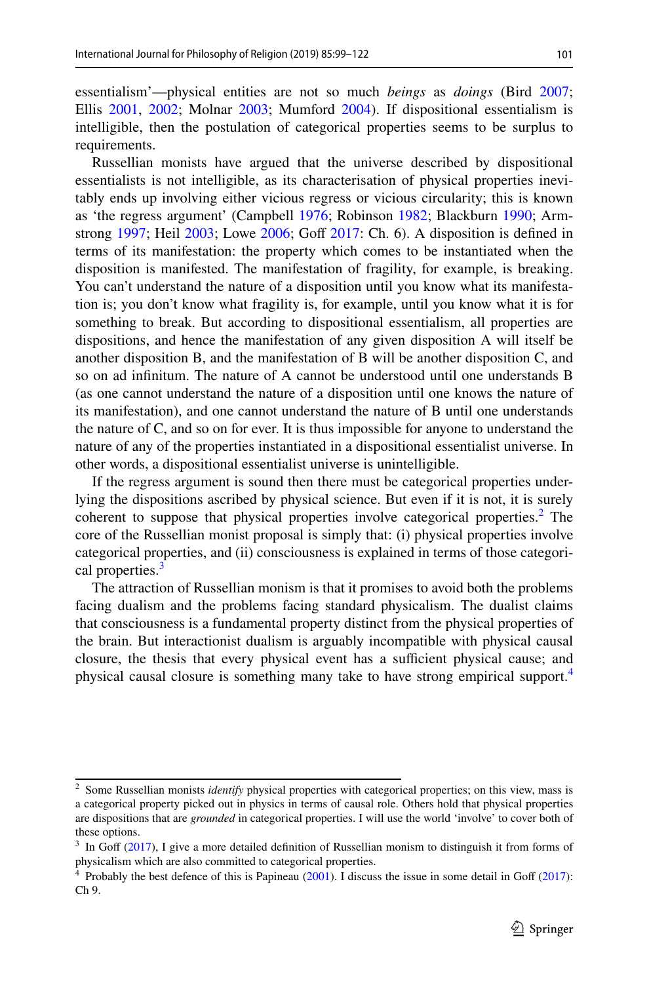essentialism'—physical entities are not so much *beings* as *doings* (Bird [2007;](#page-23-0) Ellis [2001,](#page-23-1) [2002;](#page-23-2) Molnar [2003;](#page-24-1) Mumford [2004](#page-24-2)). If dispositional essentialism is intelligible, then the postulation of categorical properties seems to be surplus to requirements.

Russellian monists have argued that the universe described by dispositional essentialists is not intelligible, as its characterisation of physical properties inevitably ends up involving either vicious regress or vicious circularity; this is known as 'the regress argument' (Campbell [1976](#page-23-3); Robinson [1982;](#page-24-3) Blackburn [1990](#page-23-4); Armstrong  $1997$ ; Heil  $2003$ ; Lowe  $2006$ ; Goff  $2017$ : Ch. 6). A disposition is defined in terms of its manifestation: the property which comes to be instantiated when the disposition is manifested. The manifestation of fragility, for example, is breaking. You can't understand the nature of a disposition until you know what its manifestation is; you don't know what fragility is, for example, until you know what it is for something to break. But according to dispositional essentialism, all properties are dispositions, and hence the manifestation of any given disposition A will itself be another disposition B, and the manifestation of B will be another disposition C, and so on ad infnitum. The nature of A cannot be understood until one understands B (as one cannot understand the nature of a disposition until one knows the nature of its manifestation), and one cannot understand the nature of B until one understands the nature of C, and so on for ever. It is thus impossible for anyone to understand the nature of any of the properties instantiated in a dispositional essentialist universe. In other words, a dispositional essentialist universe is unintelligible.

If the regress argument is sound then there must be categorical properties underlying the dispositions ascribed by physical science. But even if it is not, it is surely coherent to suppose that physical properties involve categorical properties.<sup>[2](#page-3-0)</sup> The core of the Russellian monist proposal is simply that: (i) physical properties involve categorical properties, and (ii) consciousness is explained in terms of those categori-cal properties.<sup>[3](#page-3-1)</sup>

The attraction of Russellian monism is that it promises to avoid both the problems facing dualism and the problems facing standard physicalism. The dualist claims that consciousness is a fundamental property distinct from the physical properties of the brain. But interactionist dualism is arguably incompatible with physical causal closure, the thesis that every physical event has a sufficient physical cause; and physical causal closure is something many take to have strong empirical support.[4](#page-3-2)

<span id="page-3-0"></span><sup>&</sup>lt;sup>2</sup> Some Russellian monists *identify* physical properties with categorical properties; on this view, mass is a categorical property picked out in physics in terms of causal role. Others hold that physical properties are dispositions that are *grounded* in categorical properties. I will use the world 'involve' to cover both of these options.

<span id="page-3-1"></span> $3\,$  In Goff ([2017\)](#page-23-6), I give a more detailed definition of Russellian monism to distinguish it from forms of physicalism which are also committed to categorical properties.

<span id="page-3-2"></span><sup>&</sup>lt;sup>4</sup> Probably the best defence of this is Papineau ([2001\)](#page-24-6). I discuss the issue in some detail in Goff [\(2017](#page-23-6)): Ch 9.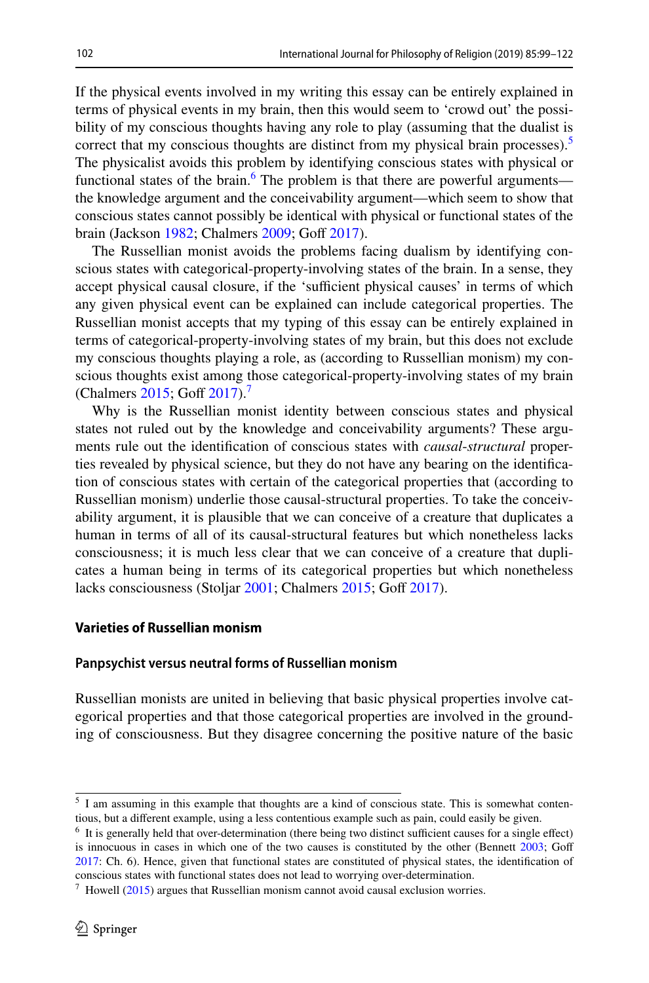If the physical events involved in my writing this essay can be entirely explained in terms of physical events in my brain, then this would seem to 'crowd out' the possibility of my conscious thoughts having any role to play (assuming that the dualist is correct that my conscious thoughts are distinct from my physical brain processes). $\delta$ The physicalist avoids this problem by identifying conscious states with physical or functional states of the brain.<sup>[6](#page-4-1)</sup> The problem is that there are powerful arguments the knowledge argument and the conceivability argument—which seem to show that conscious states cannot possibly be identical with physical or functional states of the brain (Jackson [1982](#page-24-7); Chalmers [2009](#page-23-7); Goff [2017](#page-23-6)).

The Russellian monist avoids the problems facing dualism by identifying conscious states with categorical-property-involving states of the brain. In a sense, they accept physical causal closure, if the 'sufficient physical causes' in terms of which any given physical event can be explained can include categorical properties. The Russellian monist accepts that my typing of this essay can be entirely explained in terms of categorical-property-involving states of my brain, but this does not exclude my conscious thoughts playing a role, as (according to Russellian monism) my conscious thoughts exist among those categorical-property-involving states of my brain (Chalmers [2015](#page-23-8); Goff [2017](#page-23-6)).<sup>7</sup>

Why is the Russellian monist identity between conscious states and physical states not ruled out by the knowledge and conceivability arguments? These arguments rule out the identifcation of conscious states with *causal*-*structural* properties revealed by physical science, but they do not have any bearing on the identifcation of conscious states with certain of the categorical properties that (according to Russellian monism) underlie those causal-structural properties. To take the conceivability argument, it is plausible that we can conceive of a creature that duplicates a human in terms of all of its causal-structural features but which nonetheless lacks consciousness; it is much less clear that we can conceive of a creature that duplicates a human being in terms of its categorical properties but which nonetheless lacks consciousness (Stoljar [2001](#page-24-8); Chalmers [2015;](#page-23-8) Goff [2017\)](#page-23-6).

#### **Varieties of Russellian monism**

#### **Panpsychist versus neutral forms of Russellian monism**

Russellian monists are united in believing that basic physical properties involve categorical properties and that those categorical properties are involved in the grounding of consciousness. But they disagree concerning the positive nature of the basic

<span id="page-4-0"></span><sup>5</sup> I am assuming in this example that thoughts are a kind of conscious state. This is somewhat contentious, but a diferent example, using a less contentious example such as pain, could easily be given.

<span id="page-4-1"></span> $6\,$  It is generally held that over-determination (there being two distinct sufficient causes for a single effect) is innocuous in cases in which one of the two causes is constituted by the other (Bennett [2003](#page-23-9); Goff [2017](#page-23-6): Ch. 6). Hence, given that functional states are constituted of physical states, the identifcation of conscious states with functional states does not lead to worrying over-determination.

<span id="page-4-2"></span> $\frac{7}{1}$  Howell ([2015\)](#page-24-9) argues that Russellian monism cannot avoid causal exclusion worries.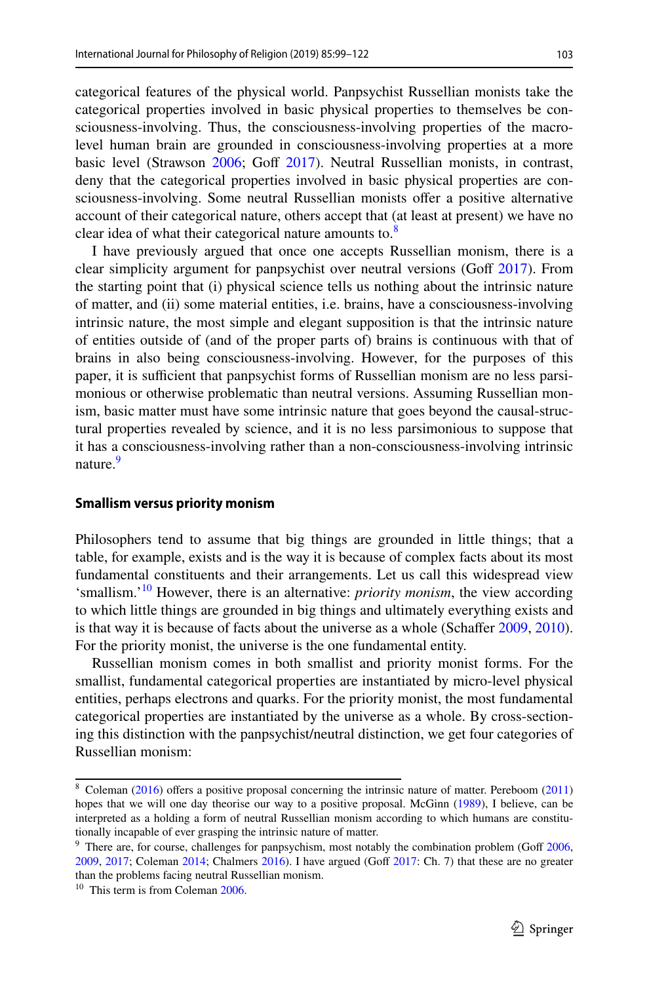categorical features of the physical world. Panpsychist Russellian monists take the categorical properties involved in basic physical properties to themselves be consciousness-involving. Thus, the consciousness-involving properties of the macrolevel human brain are grounded in consciousness-involving properties at a more basic level (Strawson [2006;](#page-24-10) Goff [2017\)](#page-23-6). Neutral Russellian monists, in contrast, deny that the categorical properties involved in basic physical properties are consciousness-involving. Some neutral Russellian monists ofer a positive alternative account of their categorical nature, others accept that (at least at present) we have no clear idea of what their categorical nature amounts to.<sup>[8](#page-5-0)</sup>

I have previously argued that once one accepts Russellian monism, there is a clear simplicity argument for panpsychist over neutral versions (Goff  $2017$ ). From the starting point that (i) physical science tells us nothing about the intrinsic nature of matter, and (ii) some material entities, i.e. brains, have a consciousness-involving intrinsic nature, the most simple and elegant supposition is that the intrinsic nature of entities outside of (and of the proper parts of) brains is continuous with that of brains in also being consciousness-involving. However, for the purposes of this paper, it is sufficient that panpsychist forms of Russellian monism are no less parsimonious or otherwise problematic than neutral versions. Assuming Russellian monism, basic matter must have some intrinsic nature that goes beyond the causal-structural properties revealed by science, and it is no less parsimonious to suppose that it has a consciousness-involving rather than a non-consciousness-involving intrinsic nature.<sup>[9](#page-5-1)</sup>

#### **Smallism versus priority monism**

Philosophers tend to assume that big things are grounded in little things; that a table, for example, exists and is the way it is because of complex facts about its most fundamental constituents and their arrangements. Let us call this widespread view 'smallism.'[10](#page-5-2) However, there is an alternative: *priority monism*, the view according to which little things are grounded in big things and ultimately everything exists and is that way it is because of facts about the universe as a whole (Schaffer [2009,](#page-24-11) [2010\)](#page-24-12). For the priority monist, the universe is the one fundamental entity.

Russellian monism comes in both smallist and priority monist forms. For the smallist, fundamental categorical properties are instantiated by micro-level physical entities, perhaps electrons and quarks. For the priority monist, the most fundamental categorical properties are instantiated by the universe as a whole. By cross-sectioning this distinction with the panpsychist/neutral distinction, we get four categories of Russellian monism:

<span id="page-5-0"></span><sup>&</sup>lt;sup>8</sup> Coleman ([2016\)](#page-23-10) offers a positive proposal concerning the intrinsic nature of matter. Pereboom ([2011\)](#page-24-13) hopes that we will one day theorise our way to a positive proposal. McGinn ([1989\)](#page-24-14), I believe, can be interpreted as a holding a form of neutral Russellian monism according to which humans are constitutionally incapable of ever grasping the intrinsic nature of matter.

<span id="page-5-1"></span> $9$  There are, for course, challenges for panpsychism, most notably the combination problem (Goff  $2006$ , [2009](#page-23-12), [2017](#page-23-6); Coleman [2014](#page-23-13); Chalmers [2016](#page-23-14)). I have argued (Gof [2017](#page-23-6): Ch. 7) that these are no greater than the problems facing neutral Russellian monism.

<span id="page-5-2"></span><sup>&</sup>lt;sup>10</sup> This term is from Coleman [2006](#page-23-15).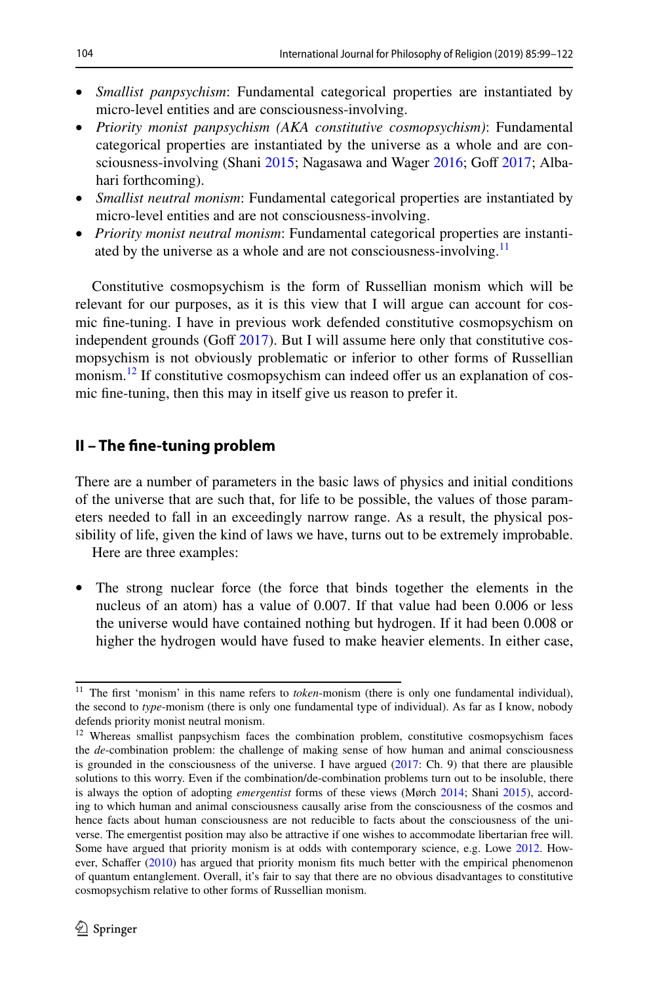- *Smallist panpsychism*: Fundamental categorical properties are instantiated by micro-level entities and are consciousness-involving.
- *P*r*iority monist panpsychism (AKA constitutive cosmopsychism)*: Fundamental categorical properties are instantiated by the universe as a whole and are con-sciousness-involving (Shani [2015;](#page-24-15) Nagasawa and Wager [2016;](#page-24-16) Goff [2017](#page-23-6); Albahari forthcoming).
- *Smallist neutral monism*: Fundamental categorical properties are instantiated by micro-level entities and are not consciousness-involving.
- *Priority monist neutral monism*: Fundamental categorical properties are instantiated by the universe as a whole and are not consciousness-involving.<sup>11</sup>

Constitutive cosmopsychism is the form of Russellian monism which will be relevant for our purposes, as it is this view that I will argue can account for cosmic fne-tuning. I have in previous work defended constitutive cosmopsychism on independent grounds (Goff  $2017$ ). But I will assume here only that constitutive cosmopsychism is not obviously problematic or inferior to other forms of Russellian monism.<sup>12</sup> If constitutive cosmopsychism can indeed offer us an explanation of cosmic fne-tuning, then this may in itself give us reason to prefer it.

### **II – The fne‑tuning problem**

There are a number of parameters in the basic laws of physics and initial conditions of the universe that are such that, for life to be possible, the values of those parameters needed to fall in an exceedingly narrow range. As a result, the physical possibility of life, given the kind of laws we have, turns out to be extremely improbable.

Here are three examples:

The strong nuclear force (the force that binds together the elements in the nucleus of an atom) has a value of 0.007. If that value had been 0.006 or less the universe would have contained nothing but hydrogen. If it had been 0.008 or higher the hydrogen would have fused to make heavier elements. In either case,

<span id="page-6-0"></span><sup>&</sup>lt;sup>11</sup> The first 'monism' in this name refers to *token*-monism (there is only one fundamental individual), the second to *type*-monism (there is only one fundamental type of individual). As far as I know, nobody defends priority monist neutral monism.

<span id="page-6-1"></span><sup>&</sup>lt;sup>12</sup> Whereas smallist panpsychism faces the combination problem, constitutive cosmopsychism faces the *de*-combination problem: the challenge of making sense of how human and animal consciousness is grounded in the consciousness of the universe. I have argued ([2017:](#page-23-6) Ch. 9) that there are plausible solutions to this worry. Even if the combination/de-combination problems turn out to be insoluble, there is always the option of adopting *emergentist* forms of these views (Mørch [2014;](#page-24-17) Shani [2015\)](#page-24-15), according to which human and animal consciousness causally arise from the consciousness of the cosmos and hence facts about human consciousness are not reducible to facts about the consciousness of the universe. The emergentist position may also be attractive if one wishes to accommodate libertarian free will. Some have argued that priority monism is at odds with contemporary science, e.g. Lowe [2012.](#page-24-18) How-ever, Schaffer ([2010\)](#page-24-12) has argued that priority monism fits much better with the empirical phenomenon of quantum entanglement. Overall, it's fair to say that there are no obvious disadvantages to constitutive cosmopsychism relative to other forms of Russellian monism.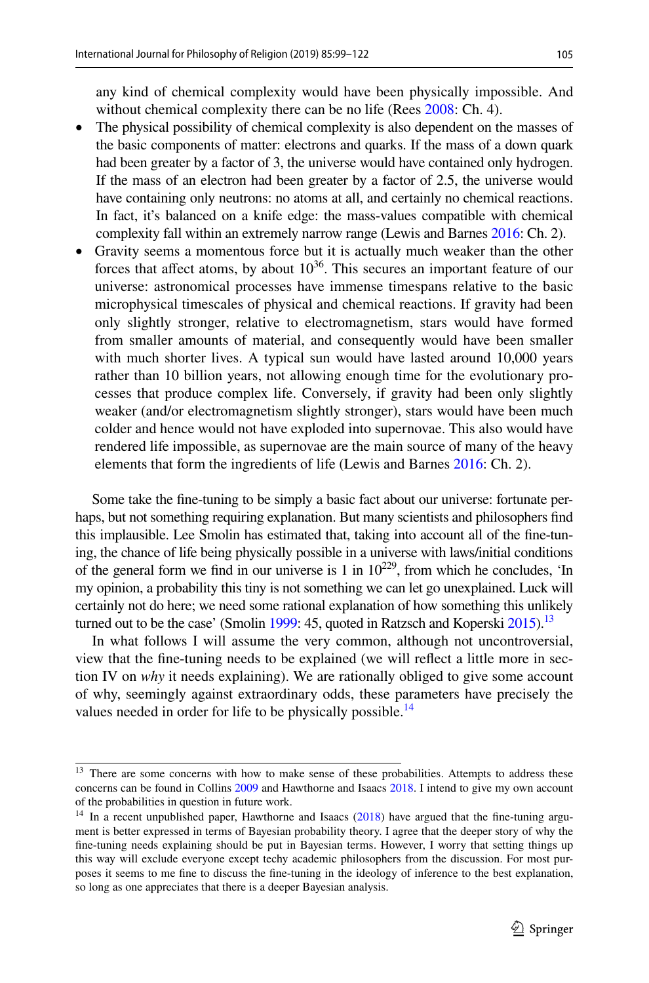any kind of chemical complexity would have been physically impossible. And without chemical complexity there can be no life (Rees [2008:](#page-24-19) Ch. 4).

- The physical possibility of chemical complexity is also dependent on the masses of the basic components of matter: electrons and quarks. If the mass of a down quark had been greater by a factor of 3, the universe would have contained only hydrogen. If the mass of an electron had been greater by a factor of 2.5, the universe would have containing only neutrons: no atoms at all, and certainly no chemical reactions. In fact, it's balanced on a knife edge: the mass-values compatible with chemical complexity fall within an extremely narrow range (Lewis and Barnes [2016](#page-24-20): Ch. 2).
- Gravity seems a momentous force but it is actually much weaker than the other forces that affect atoms, by about  $10^{36}$ . This secures an important feature of our universe: astronomical processes have immense timespans relative to the basic microphysical timescales of physical and chemical reactions. If gravity had been only slightly stronger, relative to electromagnetism, stars would have formed from smaller amounts of material, and consequently would have been smaller with much shorter lives. A typical sun would have lasted around 10,000 years rather than 10 billion years, not allowing enough time for the evolutionary processes that produce complex life. Conversely, if gravity had been only slightly weaker (and/or electromagnetism slightly stronger), stars would have been much colder and hence would not have exploded into supernovae. This also would have rendered life impossible, as supernovae are the main source of many of the heavy elements that form the ingredients of life (Lewis and Barnes [2016](#page-24-20): Ch. 2).

Some take the fne-tuning to be simply a basic fact about our universe: fortunate perhaps, but not something requiring explanation. But many scientists and philosophers fnd this implausible. Lee Smolin has estimated that, taking into account all of the fne-tuning, the chance of life being physically possible in a universe with laws/initial conditions of the general form we find in our universe is 1 in  $10^{229}$ , from which he concludes, 'In my opinion, a probability this tiny is not something we can let go unexplained. Luck will certainly not do here; we need some rational explanation of how something this unlikely turned out to be the case' (Smolin [1999](#page-24-21): 45, quoted in Ratzsch and Koperski  $2015$ ).<sup>[13](#page-7-0)</sup>

In what follows I will assume the very common, although not uncontroversial, view that the fne-tuning needs to be explained (we will refect a little more in section IV on *why* it needs explaining). We are rationally obliged to give some account of why, seemingly against extraordinary odds, these parameters have precisely the values needed in order for life to be physically possible.<sup>[14](#page-7-1)</sup>

<span id="page-7-0"></span><sup>&</sup>lt;sup>13</sup> There are some concerns with how to make sense of these probabilities. Attempts to address these concerns can be found in Collins [2009](#page-23-16) and Hawthorne and Isaacs [2018](#page-23-17). I intend to give my own account of the probabilities in question in future work.

<span id="page-7-1"></span><sup>&</sup>lt;sup>14</sup> In a recent unpublished paper, Hawthorne and Isaacs ([2018\)](#page-23-17) have argued that the fine-tuning argument is better expressed in terms of Bayesian probability theory. I agree that the deeper story of why the fne-tuning needs explaining should be put in Bayesian terms. However, I worry that setting things up this way will exclude everyone except techy academic philosophers from the discussion. For most purposes it seems to me fne to discuss the fne-tuning in the ideology of inference to the best explanation, so long as one appreciates that there is a deeper Bayesian analysis.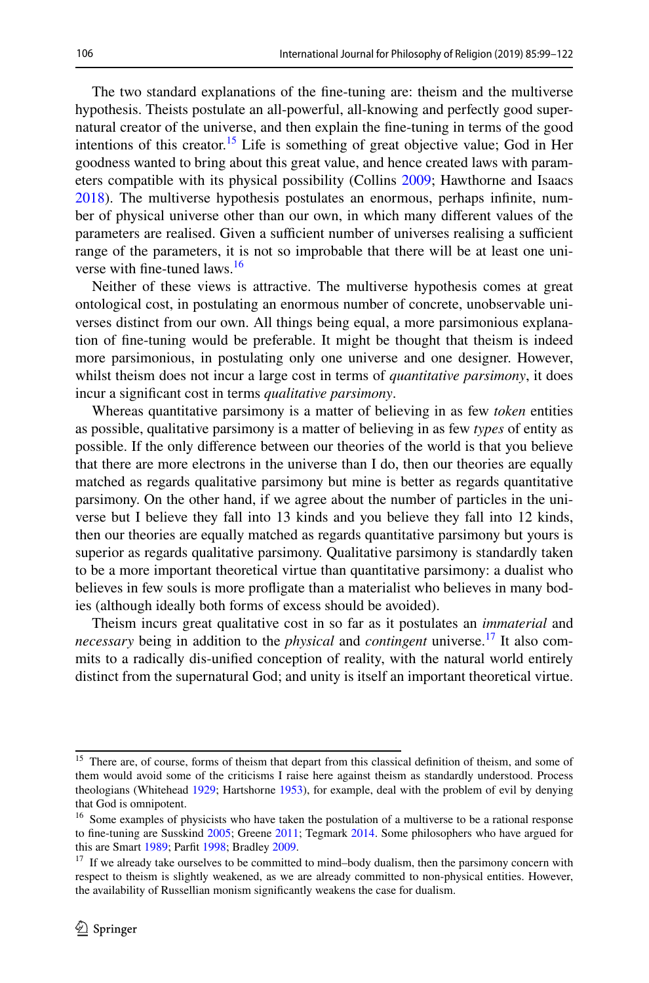The two standard explanations of the fne-tuning are: theism and the multiverse hypothesis. Theists postulate an all-powerful, all-knowing and perfectly good supernatural creator of the universe, and then explain the fne-tuning in terms of the good intentions of this creator.<sup>15</sup> Life is something of great objective value; God in Her goodness wanted to bring about this great value, and hence created laws with parameters compatible with its physical possibility (Collins [2009](#page-23-16); Hawthorne and Isaacs [2018](#page-23-17)). The multiverse hypothesis postulates an enormous, perhaps infnite, number of physical universe other than our own, in which many diferent values of the parameters are realised. Given a sufficient number of universes realising a sufficient range of the parameters, it is not so improbable that there will be at least one uni-verse with fine-tuned laws.<sup>[16](#page-8-1)</sup>

Neither of these views is attractive. The multiverse hypothesis comes at great ontological cost, in postulating an enormous number of concrete, unobservable universes distinct from our own. All things being equal, a more parsimonious explanation of fne-tuning would be preferable. It might be thought that theism is indeed more parsimonious, in postulating only one universe and one designer. However, whilst theism does not incur a large cost in terms of *quantitative parsimony*, it does incur a signifcant cost in terms *qualitative parsimony*.

Whereas quantitative parsimony is a matter of believing in as few *token* entities as possible, qualitative parsimony is a matter of believing in as few *types* of entity as possible. If the only diference between our theories of the world is that you believe that there are more electrons in the universe than I do, then our theories are equally matched as regards qualitative parsimony but mine is better as regards quantitative parsimony. On the other hand, if we agree about the number of particles in the universe but I believe they fall into 13 kinds and you believe they fall into 12 kinds, then our theories are equally matched as regards quantitative parsimony but yours is superior as regards qualitative parsimony. Qualitative parsimony is standardly taken to be a more important theoretical virtue than quantitative parsimony: a dualist who believes in few souls is more profigate than a materialist who believes in many bodies (although ideally both forms of excess should be avoided).

Theism incurs great qualitative cost in so far as it postulates an *immaterial* and *necessary* being in addition to the *physical* and *contingent* universe.<sup>17</sup> It also commits to a radically dis-unifed conception of reality, with the natural world entirely distinct from the supernatural God; and unity is itself an important theoretical virtue.

<span id="page-8-0"></span><sup>&</sup>lt;sup>15</sup> There are, of course, forms of theism that depart from this classical definition of theism, and some of them would avoid some of the criticisms I raise here against theism as standardly understood. Process theologians (Whitehead [1929](#page-24-23); Hartshorne [1953](#page-23-18)), for example, deal with the problem of evil by denying that God is omnipotent.

<span id="page-8-1"></span><sup>&</sup>lt;sup>16</sup> Some examples of physicists who have taken the postulation of a multiverse to be a rational response to fne-tuning are Susskind [2005](#page-24-24); Greene [2011](#page-23-19); Tegmark [2014.](#page-24-25) Some philosophers who have argued for this are Smart [1989;](#page-24-26) Parft [1998](#page-24-27); Bradley [2009.](#page-23-20)

<span id="page-8-2"></span><sup>&</sup>lt;sup>17</sup> If we already take ourselves to be committed to mind–body dualism, then the parsimony concern with respect to theism is slightly weakened, as we are already committed to non-physical entities. However, the availability of Russellian monism signifcantly weakens the case for dualism.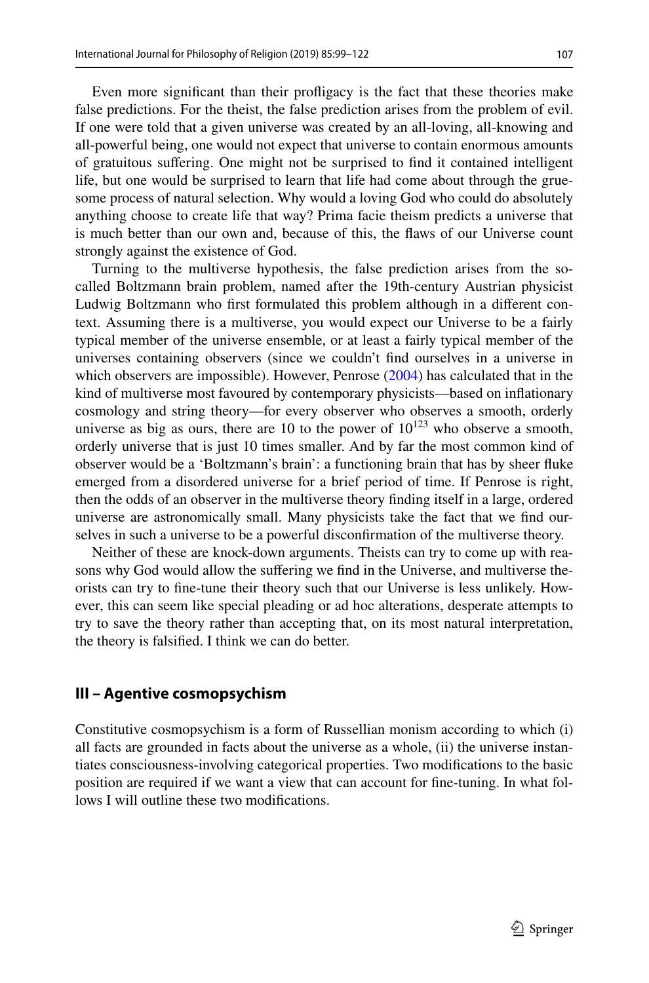Even more signifcant than their profigacy is the fact that these theories make false predictions. For the theist, the false prediction arises from the problem of evil. If one were told that a given universe was created by an all-loving, all-knowing and all-powerful being, one would not expect that universe to contain enormous amounts of gratuitous sufering. One might not be surprised to fnd it contained intelligent life, but one would be surprised to learn that life had come about through the gruesome process of natural selection. Why would a loving God who could do absolutely anything choose to create life that way? Prima facie theism predicts a universe that is much better than our own and, because of this, the faws of our Universe count strongly against the existence of God.

Turning to the multiverse hypothesis, the false prediction arises from the socalled Boltzmann brain problem, named after the 19th-century Austrian physicist Ludwig Boltzmann who frst formulated this problem although in a diferent context. Assuming there is a multiverse, you would expect our Universe to be a fairly typical member of the universe ensemble, or at least a fairly typical member of the universes containing observers (since we couldn't fnd ourselves in a universe in which observers are impossible). However, Penrose [\(2004](#page-24-28)) has calculated that in the kind of multiverse most favoured by contemporary physicists—based on infationary cosmology and string theory—for every observer who observes a smooth, orderly universe as big as ours, there are 10 to the power of  $10^{123}$  who observe a smooth, orderly universe that is just 10 times smaller. And by far the most common kind of observer would be a 'Boltzmann's brain': a functioning brain that has by sheer fuke emerged from a disordered universe for a brief period of time. If Penrose is right, then the odds of an observer in the multiverse theory fnding itself in a large, ordered universe are astronomically small. Many physicists take the fact that we fnd ourselves in such a universe to be a powerful disconfrmation of the multiverse theory.

Neither of these are knock-down arguments. Theists can try to come up with reasons why God would allow the sufering we fnd in the Universe, and multiverse theorists can try to fne-tune their theory such that our Universe is less unlikely. However, this can seem like special pleading or ad hoc alterations, desperate attempts to try to save the theory rather than accepting that, on its most natural interpretation, the theory is falsifed. I think we can do better.

#### **III – Agentive cosmopsychism**

Constitutive cosmopsychism is a form of Russellian monism according to which (i) all facts are grounded in facts about the universe as a whole, (ii) the universe instantiates consciousness-involving categorical properties. Two modifcations to the basic position are required if we want a view that can account for fne-tuning. In what follows I will outline these two modifcations.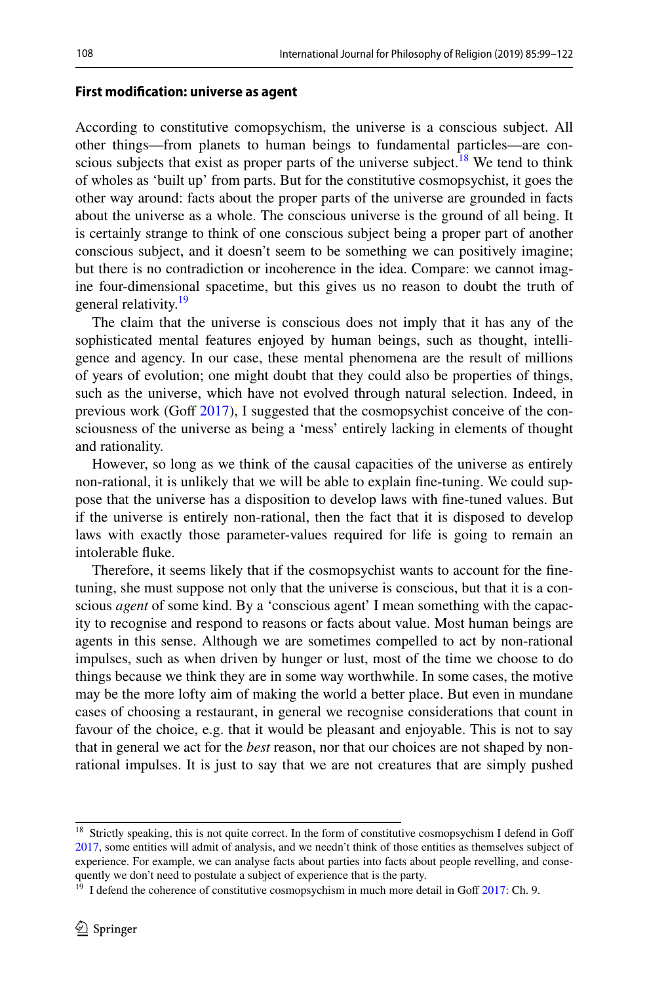#### **First modifcation: universe as agent**

According to constitutive comopsychism, the universe is a conscious subject. All other things—from planets to human beings to fundamental particles—are conscious subjects that exist as proper parts of the universe subject.<sup>18</sup> We tend to think of wholes as 'built up' from parts. But for the constitutive cosmopsychist, it goes the other way around: facts about the proper parts of the universe are grounded in facts about the universe as a whole. The conscious universe is the ground of all being. It is certainly strange to think of one conscious subject being a proper part of another conscious subject, and it doesn't seem to be something we can positively imagine; but there is no contradiction or incoherence in the idea. Compare: we cannot imagine four-dimensional spacetime, but this gives us no reason to doubt the truth of general relativity.<sup>[19](#page-10-1)</sup>

The claim that the universe is conscious does not imply that it has any of the sophisticated mental features enjoyed by human beings, such as thought, intelligence and agency. In our case, these mental phenomena are the result of millions of years of evolution; one might doubt that they could also be properties of things, such as the universe, which have not evolved through natural selection. Indeed, in previous work (Goff  $2017$ ), I suggested that the cosmopsychist conceive of the consciousness of the universe as being a 'mess' entirely lacking in elements of thought and rationality.

However, so long as we think of the causal capacities of the universe as entirely non-rational, it is unlikely that we will be able to explain fne-tuning. We could suppose that the universe has a disposition to develop laws with fne-tuned values. But if the universe is entirely non-rational, then the fact that it is disposed to develop laws with exactly those parameter-values required for life is going to remain an intolerable fuke.

Therefore, it seems likely that if the cosmopsychist wants to account for the fnetuning, she must suppose not only that the universe is conscious, but that it is a conscious *agent* of some kind. By a 'conscious agent' I mean something with the capacity to recognise and respond to reasons or facts about value. Most human beings are agents in this sense. Although we are sometimes compelled to act by non-rational impulses, such as when driven by hunger or lust, most of the time we choose to do things because we think they are in some way worthwhile. In some cases, the motive may be the more lofty aim of making the world a better place. But even in mundane cases of choosing a restaurant, in general we recognise considerations that count in favour of the choice, e.g. that it would be pleasant and enjoyable. This is not to say that in general we act for the *best* reason, nor that our choices are not shaped by nonrational impulses. It is just to say that we are not creatures that are simply pushed

<span id="page-10-0"></span><sup>&</sup>lt;sup>18</sup> Strictly speaking, this is not quite correct. In the form of constitutive cosmopsychism I defend in Goff [2017](#page-23-6), some entities will admit of analysis, and we needn't think of those entities as themselves subject of experience. For example, we can analyse facts about parties into facts about people revelling, and consequently we don't need to postulate a subject of experience that is the party.

<span id="page-10-1"></span> $19$  I defend the coherence of constitutive cosmopsychism in much more detail in Goff [2017:](#page-23-6) Ch. 9.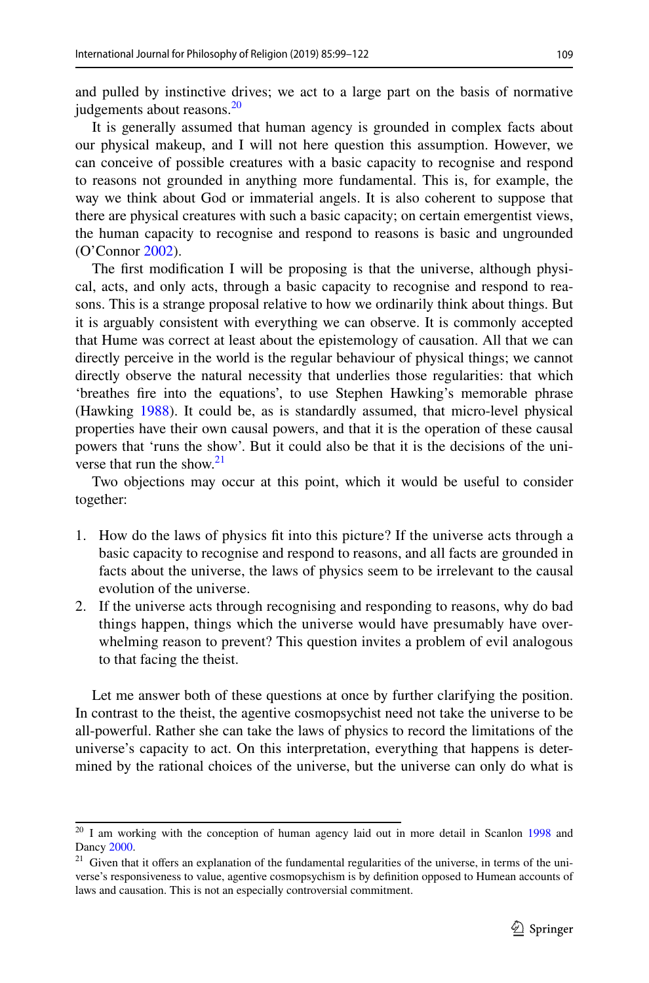109

and pulled by instinctive drives; we act to a large part on the basis of normative judgements about reasons.<sup>[20](#page-11-0)</sup>

It is generally assumed that human agency is grounded in complex facts about our physical makeup, and I will not here question this assumption. However, we can conceive of possible creatures with a basic capacity to recognise and respond to reasons not grounded in anything more fundamental. This is, for example, the way we think about God or immaterial angels. It is also coherent to suppose that there are physical creatures with such a basic capacity; on certain emergentist views, the human capacity to recognise and respond to reasons is basic and ungrounded (O'Connor [2002](#page-24-29)).

The frst modifcation I will be proposing is that the universe, although physical, acts, and only acts, through a basic capacity to recognise and respond to reasons. This is a strange proposal relative to how we ordinarily think about things. But it is arguably consistent with everything we can observe. It is commonly accepted that Hume was correct at least about the epistemology of causation. All that we can directly perceive in the world is the regular behaviour of physical things; we cannot directly observe the natural necessity that underlies those regularities: that which 'breathes fre into the equations', to use Stephen Hawking's memorable phrase (Hawking [1988\)](#page-23-21). It could be, as is standardly assumed, that micro-level physical properties have their own causal powers, and that it is the operation of these causal powers that 'runs the show'. But it could also be that it is the decisions of the uni-verse that run the show.<sup>[21](#page-11-1)</sup>

Two objections may occur at this point, which it would be useful to consider together:

- 1. How do the laws of physics ft into this picture? If the universe acts through a basic capacity to recognise and respond to reasons, and all facts are grounded in facts about the universe, the laws of physics seem to be irrelevant to the causal evolution of the universe.
- 2. If the universe acts through recognising and responding to reasons, why do bad things happen, things which the universe would have presumably have overwhelming reason to prevent? This question invites a problem of evil analogous to that facing the theist.

Let me answer both of these questions at once by further clarifying the position. In contrast to the theist, the agentive cosmopsychist need not take the universe to be all-powerful. Rather she can take the laws of physics to record the limitations of the universe's capacity to act. On this interpretation, everything that happens is determined by the rational choices of the universe, but the universe can only do what is

<span id="page-11-0"></span><sup>&</sup>lt;sup>20</sup> I am working with the conception of human agency laid out in more detail in Scanlon [1998](#page-24-30) and Dancy [2000.](#page-23-22)

<span id="page-11-1"></span><sup>&</sup>lt;sup>21</sup> Given that it offers an explanation of the fundamental regularities of the universe, in terms of the universe's responsiveness to value, agentive cosmopsychism is by defnition opposed to Humean accounts of laws and causation. This is not an especially controversial commitment.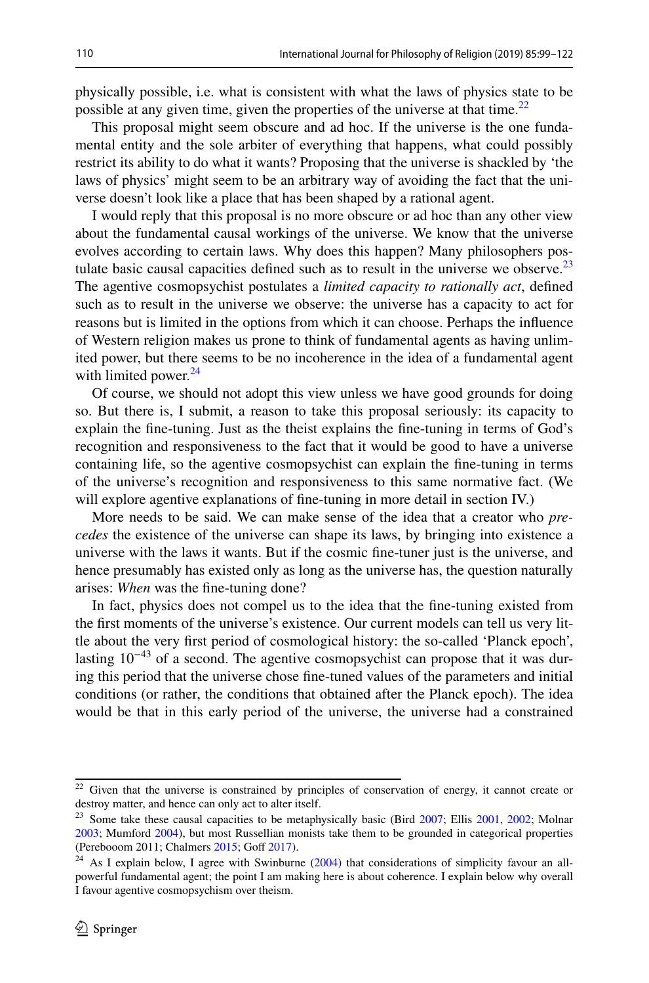physically possible, i.e. what is consistent with what the laws of physics state to be possible at any given time, given the properties of the universe at that time.<sup>22</sup>

This proposal might seem obscure and ad hoc. If the universe is the one fundamental entity and the sole arbiter of everything that happens, what could possibly restrict its ability to do what it wants? Proposing that the universe is shackled by 'the laws of physics' might seem to be an arbitrary way of avoiding the fact that the universe doesn't look like a place that has been shaped by a rational agent.

I would reply that this proposal is no more obscure or ad hoc than any other view about the fundamental causal workings of the universe. We know that the universe evolves according to certain laws. Why does this happen? Many philosophers postulate basic causal capacities defined such as to result in the universe we observe.<sup>23</sup> The agentive cosmopsychist postulates a *limited capacity to rationally act*, defned such as to result in the universe we observe: the universe has a capacity to act for reasons but is limited in the options from which it can choose. Perhaps the infuence of Western religion makes us prone to think of fundamental agents as having unlimited power, but there seems to be no incoherence in the idea of a fundamental agent with limited power. $24$ 

Of course, we should not adopt this view unless we have good grounds for doing so. But there is, I submit, a reason to take this proposal seriously: its capacity to explain the fne-tuning. Just as the theist explains the fne-tuning in terms of God's recognition and responsiveness to the fact that it would be good to have a universe containing life, so the agentive cosmopsychist can explain the fne-tuning in terms of the universe's recognition and responsiveness to this same normative fact. (We will explore agentive explanations of fine-tuning in more detail in section IV.)

More needs to be said. We can make sense of the idea that a creator who *precedes* the existence of the universe can shape its laws, by bringing into existence a universe with the laws it wants. But if the cosmic fne-tuner just is the universe, and hence presumably has existed only as long as the universe has, the question naturally arises: *When* was the fne-tuning done?

In fact, physics does not compel us to the idea that the fne-tuning existed from the frst moments of the universe's existence. Our current models can tell us very little about the very frst period of cosmological history: the so-called 'Planck epoch', lasting  $10^{-43}$  of a second. The agentive cosmopsychist can propose that it was during this period that the universe chose fne-tuned values of the parameters and initial conditions (or rather, the conditions that obtained after the Planck epoch). The idea would be that in this early period of the universe, the universe had a constrained

<span id="page-12-0"></span><sup>&</sup>lt;sup>22</sup> Given that the universe is constrained by principles of conservation of energy, it cannot create or destroy matter, and hence can only act to alter itself.

<span id="page-12-1"></span><sup>&</sup>lt;sup>23</sup> Some take these causal capacities to be metaphysically basic (Bird  $2007$ ; Ellis  $2001$ ,  $2002$ ; Molnar [2003](#page-24-1); Mumford [2004\)](#page-24-2), but most Russellian monists take them to be grounded in categorical properties (Perebooom 2011; Chalmers [2015;](#page-23-8) Goff [2017\)](#page-23-6).

<span id="page-12-2"></span> $24$  As I explain below, I agree with Swinburne ([2004\)](#page-24-31) that considerations of simplicity favour an allpowerful fundamental agent; the point I am making here is about coherence. I explain below why overall I favour agentive cosmopsychism over theism.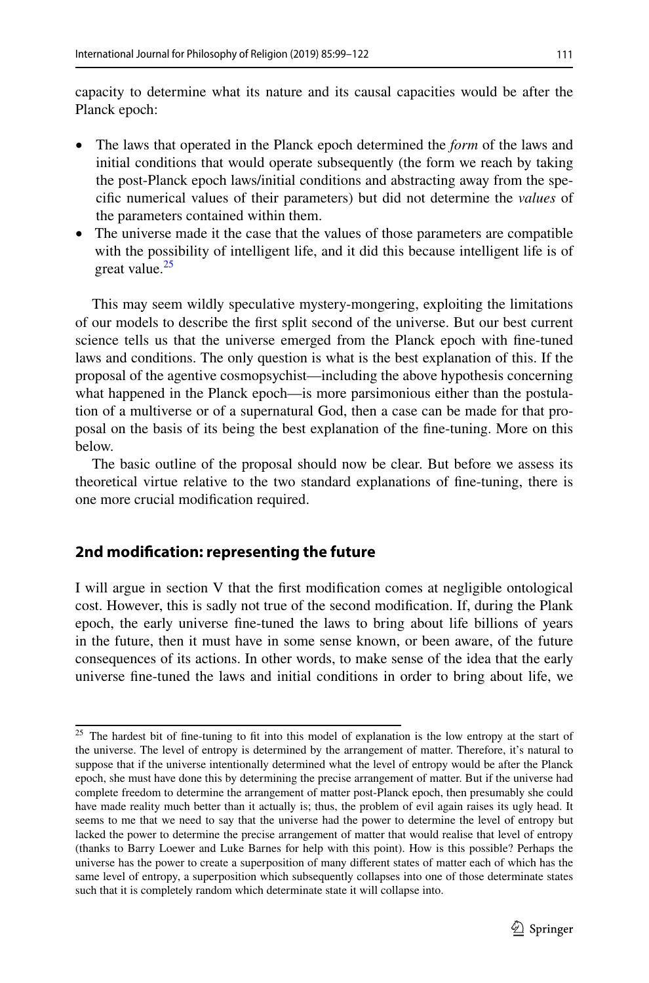capacity to determine what its nature and its causal capacities would be after the Planck epoch:

- The laws that operated in the Planck epoch determined the *form* of the laws and initial conditions that would operate subsequently (the form we reach by taking the post-Planck epoch laws/initial conditions and abstracting away from the specifc numerical values of their parameters) but did not determine the *values* of the parameters contained within them.
- The universe made it the case that the values of those parameters are compatible with the possibility of intelligent life, and it did this because intelligent life is of great value.<sup>[25](#page-13-0)</sup>

This may seem wildly speculative mystery-mongering, exploiting the limitations of our models to describe the frst split second of the universe. But our best current science tells us that the universe emerged from the Planck epoch with fne-tuned laws and conditions. The only question is what is the best explanation of this. If the proposal of the agentive cosmopsychist—including the above hypothesis concerning what happened in the Planck epoch—is more parsimonious either than the postulation of a multiverse or of a supernatural God, then a case can be made for that proposal on the basis of its being the best explanation of the fne-tuning. More on this below.

The basic outline of the proposal should now be clear. But before we assess its theoretical virtue relative to the two standard explanations of fne-tuning, there is one more crucial modifcation required.

#### **2nd modifcation: representing the future**

I will argue in section V that the frst modifcation comes at negligible ontological cost. However, this is sadly not true of the second modifcation. If, during the Plank epoch, the early universe fne-tuned the laws to bring about life billions of years in the future, then it must have in some sense known, or been aware, of the future consequences of its actions. In other words, to make sense of the idea that the early universe fne-tuned the laws and initial conditions in order to bring about life, we

<span id="page-13-0"></span><sup>&</sup>lt;sup>25</sup> The hardest bit of fine-tuning to fit into this model of explanation is the low entropy at the start of the universe. The level of entropy is determined by the arrangement of matter. Therefore, it's natural to suppose that if the universe intentionally determined what the level of entropy would be after the Planck epoch, she must have done this by determining the precise arrangement of matter. But if the universe had complete freedom to determine the arrangement of matter post-Planck epoch, then presumably she could have made reality much better than it actually is; thus, the problem of evil again raises its ugly head. It seems to me that we need to say that the universe had the power to determine the level of entropy but lacked the power to determine the precise arrangement of matter that would realise that level of entropy (thanks to Barry Loewer and Luke Barnes for help with this point). How is this possible? Perhaps the universe has the power to create a superposition of many diferent states of matter each of which has the same level of entropy, a superposition which subsequently collapses into one of those determinate states such that it is completely random which determinate state it will collapse into.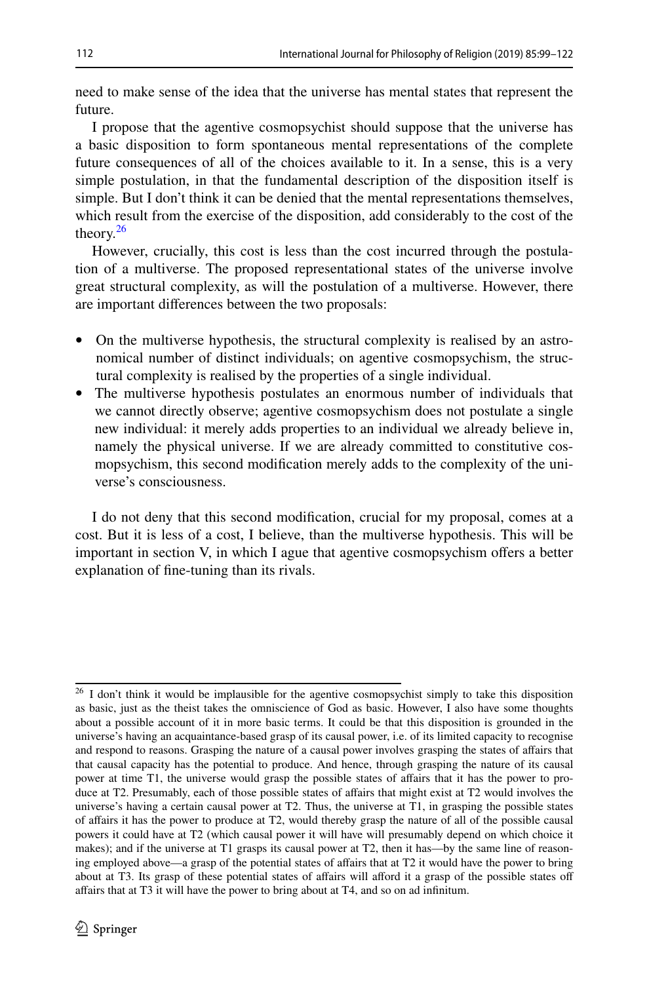need to make sense of the idea that the universe has mental states that represent the future.

I propose that the agentive cosmopsychist should suppose that the universe has a basic disposition to form spontaneous mental representations of the complete future consequences of all of the choices available to it. In a sense, this is a very simple postulation, in that the fundamental description of the disposition itself is simple. But I don't think it can be denied that the mental representations themselves, which result from the exercise of the disposition, add considerably to the cost of the theory. $26$ 

However, crucially, this cost is less than the cost incurred through the postulation of a multiverse. The proposed representational states of the universe involve great structural complexity, as will the postulation of a multiverse. However, there are important diferences between the two proposals:

- On the multiverse hypothesis, the structural complexity is realised by an astronomical number of distinct individuals; on agentive cosmopsychism, the structural complexity is realised by the properties of a single individual.
- The multiverse hypothesis postulates an enormous number of individuals that we cannot directly observe; agentive cosmopsychism does not postulate a single new individual: it merely adds properties to an individual we already believe in, namely the physical universe. If we are already committed to constitutive cosmopsychism, this second modifcation merely adds to the complexity of the universe's consciousness.

I do not deny that this second modifcation, crucial for my proposal, comes at a cost. But it is less of a cost, I believe, than the multiverse hypothesis. This will be important in section V, in which I ague that agentive cosmopsychism ofers a better explanation of fne-tuning than its rivals.

<span id="page-14-0"></span><sup>&</sup>lt;sup>26</sup> I don't think it would be implausible for the agentive cosmopsychist simply to take this disposition as basic, just as the theist takes the omniscience of God as basic. However, I also have some thoughts about a possible account of it in more basic terms. It could be that this disposition is grounded in the universe's having an acquaintance-based grasp of its causal power, i.e. of its limited capacity to recognise and respond to reasons. Grasping the nature of a causal power involves grasping the states of afairs that that causal capacity has the potential to produce. And hence, through grasping the nature of its causal power at time T1, the universe would grasp the possible states of afairs that it has the power to produce at T2. Presumably, each of those possible states of affairs that might exist at T2 would involves the universe's having a certain causal power at T2. Thus, the universe at T1, in grasping the possible states of afairs it has the power to produce at T2, would thereby grasp the nature of all of the possible causal powers it could have at T2 (which causal power it will have will presumably depend on which choice it makes); and if the universe at T1 grasps its causal power at T2, then it has—by the same line of reasoning employed above—a grasp of the potential states of afairs that at T2 it would have the power to bring about at T3. Its grasp of these potential states of affairs will afford it a grasp of the possible states off afairs that at T3 it will have the power to bring about at T4, and so on ad infnitum.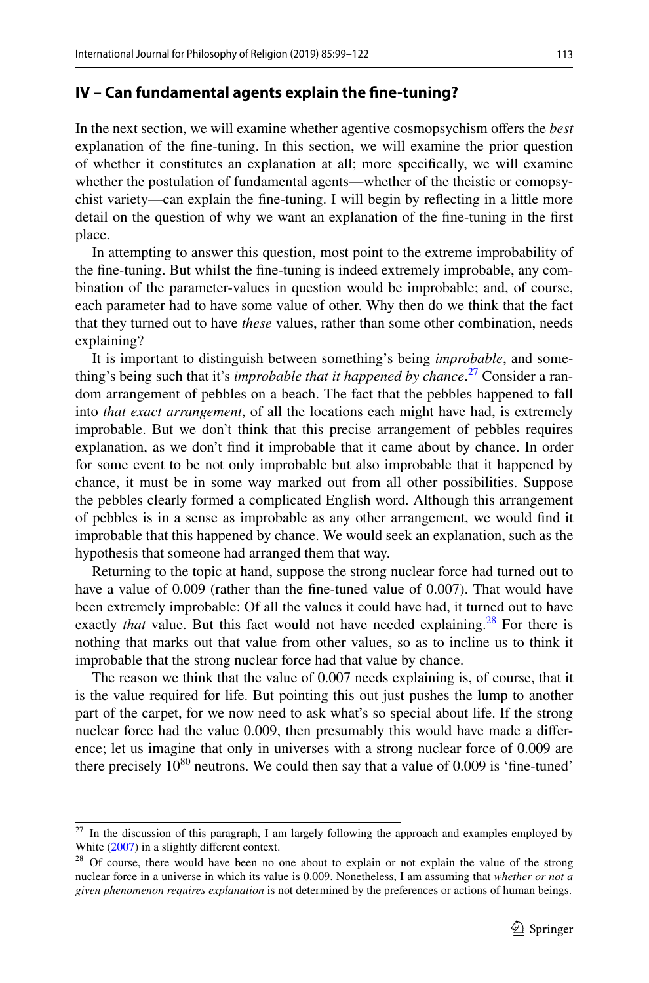#### **IV – Can fundamental agents explain the fne‑tuning?**

In the next section, we will examine whether agentive cosmopsychism ofers the *best* explanation of the fne-tuning. In this section, we will examine the prior question of whether it constitutes an explanation at all; more specifcally, we will examine whether the postulation of fundamental agents—whether of the theistic or comopsychist variety—can explain the fne-tuning. I will begin by refecting in a little more detail on the question of why we want an explanation of the fne-tuning in the frst place.

In attempting to answer this question, most point to the extreme improbability of the fne-tuning. But whilst the fne-tuning is indeed extremely improbable, any combination of the parameter-values in question would be improbable; and, of course, each parameter had to have some value of other. Why then do we think that the fact that they turned out to have *these* values, rather than some other combination, needs explaining?

It is important to distinguish between something's being *improbable*, and something's being such that it's *improbable that it happened by chance*. [27](#page-15-0) Consider a random arrangement of pebbles on a beach. The fact that the pebbles happened to fall into *that exact arrangement*, of all the locations each might have had, is extremely improbable. But we don't think that this precise arrangement of pebbles requires explanation, as we don't fnd it improbable that it came about by chance. In order for some event to be not only improbable but also improbable that it happened by chance, it must be in some way marked out from all other possibilities. Suppose the pebbles clearly formed a complicated English word. Although this arrangement of pebbles is in a sense as improbable as any other arrangement, we would fnd it improbable that this happened by chance. We would seek an explanation, such as the hypothesis that someone had arranged them that way.

Returning to the topic at hand, suppose the strong nuclear force had turned out to have a value of 0.009 (rather than the fne-tuned value of 0.007). That would have been extremely improbable: Of all the values it could have had, it turned out to have exactly *that* value. But this fact would not have needed explaining.<sup>28</sup> For there is nothing that marks out that value from other values, so as to incline us to think it improbable that the strong nuclear force had that value by chance.

The reason we think that the value of 0.007 needs explaining is, of course, that it is the value required for life. But pointing this out just pushes the lump to another part of the carpet, for we now need to ask what's so special about life. If the strong nuclear force had the value 0.009, then presumably this would have made a diference; let us imagine that only in universes with a strong nuclear force of 0.009 are there precisely  $10^{80}$  neutrons. We could then say that a value of 0.009 is 'fine-tuned'

<span id="page-15-0"></span><sup>&</sup>lt;sup>27</sup> In the discussion of this paragraph, I am largely following the approach and examples employed by White [\(2007](#page-24-32)) in a slightly different context.

<span id="page-15-1"></span><sup>&</sup>lt;sup>28</sup> Of course, there would have been no one about to explain or not explain the value of the strong nuclear force in a universe in which its value is 0.009. Nonetheless, I am assuming that *whether or not a given phenomenon requires explanation* is not determined by the preferences or actions of human beings.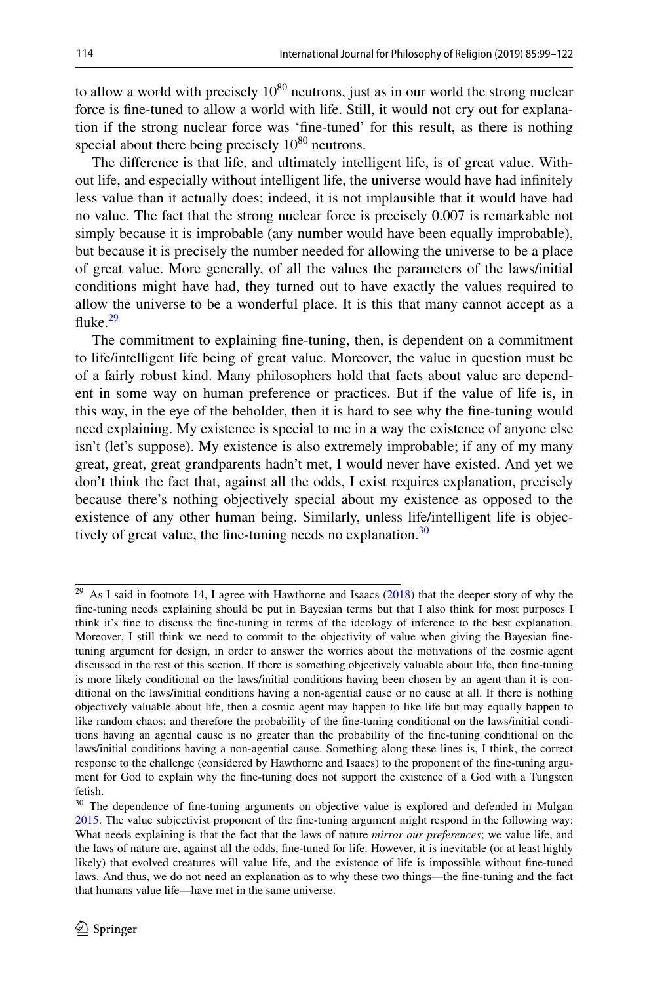to allow a world with precisely  $10^{80}$  neutrons, just as in our world the strong nuclear force is fne-tuned to allow a world with life. Still, it would not cry out for explanation if the strong nuclear force was 'fne-tuned' for this result, as there is nothing special about there being precisely  $10^{80}$  neutrons.

The diference is that life, and ultimately intelligent life, is of great value. Without life, and especially without intelligent life, the universe would have had infnitely less value than it actually does; indeed, it is not implausible that it would have had no value. The fact that the strong nuclear force is precisely 0.007 is remarkable not simply because it is improbable (any number would have been equally improbable), but because it is precisely the number needed for allowing the universe to be a place of great value. More generally, of all the values the parameters of the laws/initial conditions might have had, they turned out to have exactly the values required to allow the universe to be a wonderful place. It is this that many cannot accept as a fluke. $29$ 

The commitment to explaining fne-tuning, then, is dependent on a commitment to life/intelligent life being of great value. Moreover, the value in question must be of a fairly robust kind. Many philosophers hold that facts about value are dependent in some way on human preference or practices. But if the value of life is, in this way, in the eye of the beholder, then it is hard to see why the fne-tuning would need explaining. My existence is special to me in a way the existence of anyone else isn't (let's suppose). My existence is also extremely improbable; if any of my many great, great, great grandparents hadn't met, I would never have existed. And yet we don't think the fact that, against all the odds, I exist requires explanation, precisely because there's nothing objectively special about my existence as opposed to the existence of any other human being. Similarly, unless life/intelligent life is objectively of great value, the fine-tuning needs no explanation. $30$ 

<span id="page-16-0"></span> $\frac{29}{29}$  As I said in footnote 14, I agree with Hawthorne and Isaacs [\(2018](#page-23-17)) that the deeper story of why the fne-tuning needs explaining should be put in Bayesian terms but that I also think for most purposes I think it's fne to discuss the fne-tuning in terms of the ideology of inference to the best explanation. Moreover, I still think we need to commit to the objectivity of value when giving the Bayesian fnetuning argument for design, in order to answer the worries about the motivations of the cosmic agent discussed in the rest of this section. If there is something objectively valuable about life, then fne-tuning is more likely conditional on the laws/initial conditions having been chosen by an agent than it is conditional on the laws/initial conditions having a non-agential cause or no cause at all. If there is nothing objectively valuable about life, then a cosmic agent may happen to like life but may equally happen to like random chaos; and therefore the probability of the fne-tuning conditional on the laws/initial conditions having an agential cause is no greater than the probability of the fne-tuning conditional on the laws/initial conditions having a non-agential cause. Something along these lines is, I think, the correct response to the challenge (considered by Hawthorne and Isaacs) to the proponent of the fne-tuning argument for God to explain why the fne-tuning does not support the existence of a God with a Tungsten fetish.

<span id="page-16-1"></span><sup>&</sup>lt;sup>30</sup> The dependence of fine-tuning arguments on objective value is explored and defended in Mulgan [2015](#page-24-33). The value subjectivist proponent of the fne-tuning argument might respond in the following way: What needs explaining is that the fact that the laws of nature *mirror our preferences*; we value life, and the laws of nature are, against all the odds, fne-tuned for life. However, it is inevitable (or at least highly likely) that evolved creatures will value life, and the existence of life is impossible without fne-tuned laws. And thus, we do not need an explanation as to why these two things—the fne-tuning and the fact that humans value life—have met in the same universe.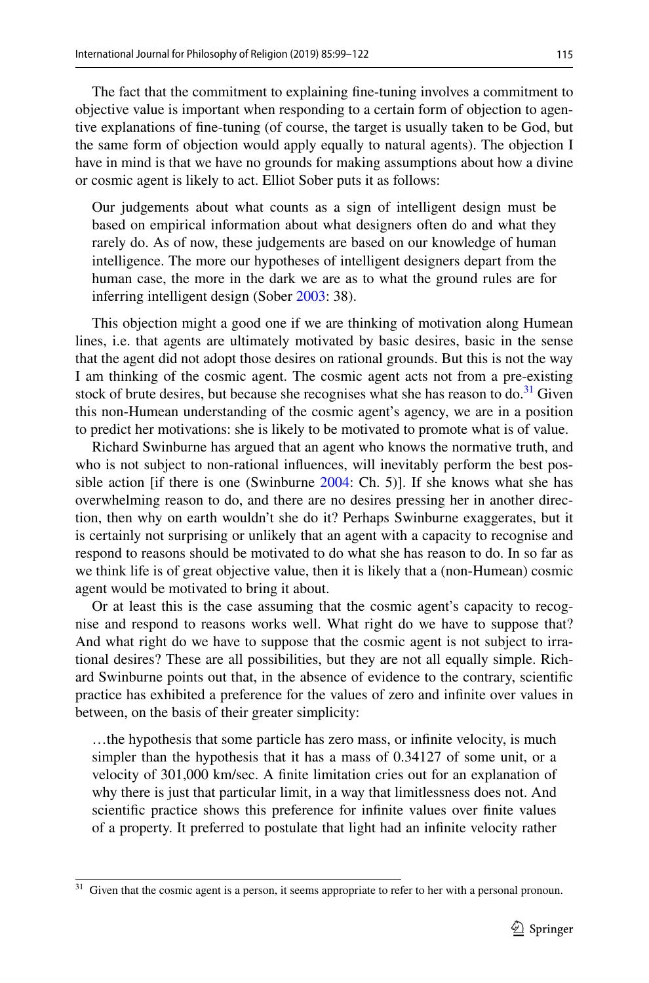The fact that the commitment to explaining fne-tuning involves a commitment to objective value is important when responding to a certain form of objection to agentive explanations of fne-tuning (of course, the target is usually taken to be God, but the same form of objection would apply equally to natural agents). The objection I have in mind is that we have no grounds for making assumptions about how a divine or cosmic agent is likely to act. Elliot Sober puts it as follows:

Our judgements about what counts as a sign of intelligent design must be based on empirical information about what designers often do and what they rarely do. As of now, these judgements are based on our knowledge of human intelligence. The more our hypotheses of intelligent designers depart from the human case, the more in the dark we are as to what the ground rules are for inferring intelligent design (Sober [2003:](#page-24-34) 38).

This objection might a good one if we are thinking of motivation along Humean lines, i.e. that agents are ultimately motivated by basic desires, basic in the sense that the agent did not adopt those desires on rational grounds. But this is not the way I am thinking of the cosmic agent. The cosmic agent acts not from a pre-existing stock of brute desires, but because she recognises what she has reason to do. $31$  Given this non-Humean understanding of the cosmic agent's agency, we are in a position to predict her motivations: she is likely to be motivated to promote what is of value.

Richard Swinburne has argued that an agent who knows the normative truth, and who is not subject to non-rational infuences, will inevitably perform the best pos-sible action [if there is one (Swinburne [2004:](#page-24-31) Ch. 5)]. If she knows what she has overwhelming reason to do, and there are no desires pressing her in another direction, then why on earth wouldn't she do it? Perhaps Swinburne exaggerates, but it is certainly not surprising or unlikely that an agent with a capacity to recognise and respond to reasons should be motivated to do what she has reason to do. In so far as we think life is of great objective value, then it is likely that a (non-Humean) cosmic agent would be motivated to bring it about.

Or at least this is the case assuming that the cosmic agent's capacity to recognise and respond to reasons works well. What right do we have to suppose that? And what right do we have to suppose that the cosmic agent is not subject to irrational desires? These are all possibilities, but they are not all equally simple. Richard Swinburne points out that, in the absence of evidence to the contrary, scientifc practice has exhibited a preference for the values of zero and infnite over values in between, on the basis of their greater simplicity:

…the hypothesis that some particle has zero mass, or infnite velocity, is much simpler than the hypothesis that it has a mass of 0.34127 of some unit, or a velocity of 301,000 km/sec. A fnite limitation cries out for an explanation of why there is just that particular limit, in a way that limitlessness does not. And scientifc practice shows this preference for infnite values over fnite values of a property. It preferred to postulate that light had an infnite velocity rather

<span id="page-17-0"></span><sup>&</sup>lt;sup>31</sup> Given that the cosmic agent is a person, it seems appropriate to refer to her with a personal pronoun.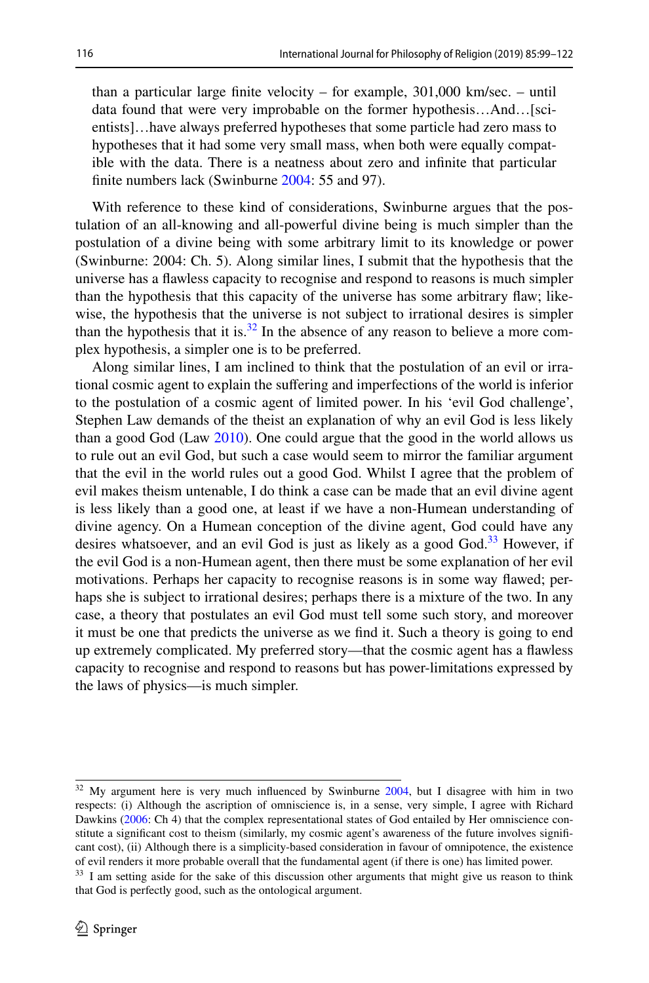than a particular large fnite velocity – for example, 301,000 km/sec. – until data found that were very improbable on the former hypothesis…And…[scientists]…have always preferred hypotheses that some particle had zero mass to hypotheses that it had some very small mass, when both were equally compatible with the data. There is a neatness about zero and infnite that particular finite numbers lack (Swinburne [2004:](#page-24-31) 55 and 97).

With reference to these kind of considerations, Swinburne argues that the postulation of an all-knowing and all-powerful divine being is much simpler than the postulation of a divine being with some arbitrary limit to its knowledge or power (Swinburne: 2004: Ch. 5). Along similar lines, I submit that the hypothesis that the universe has a fawless capacity to recognise and respond to reasons is much simpler than the hypothesis that this capacity of the universe has some arbitrary faw; likewise, the hypothesis that the universe is not subject to irrational desires is simpler than the hypothesis that it is.<sup>32</sup> In the absence of any reason to believe a more complex hypothesis, a simpler one is to be preferred.

Along similar lines, I am inclined to think that the postulation of an evil or irrational cosmic agent to explain the sufering and imperfections of the world is inferior to the postulation of a cosmic agent of limited power. In his 'evil God challenge', Stephen Law demands of the theist an explanation of why an evil God is less likely than a good God (Law [2010](#page-24-35)). One could argue that the good in the world allows us to rule out an evil God, but such a case would seem to mirror the familiar argument that the evil in the world rules out a good God. Whilst I agree that the problem of evil makes theism untenable, I do think a case can be made that an evil divine agent is less likely than a good one, at least if we have a non-Humean understanding of divine agency. On a Humean conception of the divine agent, God could have any desires whatsoever, and an evil God is just as likely as a good God.<sup>33</sup> However, if the evil God is a non-Humean agent, then there must be some explanation of her evil motivations. Perhaps her capacity to recognise reasons is in some way fawed; perhaps she is subject to irrational desires; perhaps there is a mixture of the two. In any case, a theory that postulates an evil God must tell some such story, and moreover it must be one that predicts the universe as we fnd it. Such a theory is going to end up extremely complicated. My preferred story—that the cosmic agent has a fawless capacity to recognise and respond to reasons but has power-limitations expressed by the laws of physics—is much simpler.

<span id="page-18-0"></span><sup>&</sup>lt;sup>32</sup> My argument here is very much influenced by Swinburne [2004,](#page-24-31) but I disagree with him in two respects: (i) Although the ascription of omniscience is, in a sense, very simple, I agree with Richard Dawkins [\(2006](#page-23-23): Ch 4) that the complex representational states of God entailed by Her omniscience constitute a signifcant cost to theism (similarly, my cosmic agent's awareness of the future involves signifcant cost), (ii) Although there is a simplicity-based consideration in favour of omnipotence, the existence of evil renders it more probable overall that the fundamental agent (if there is one) has limited power.

<span id="page-18-1"></span><sup>&</sup>lt;sup>33</sup> I am setting aside for the sake of this discussion other arguments that might give us reason to think that God is perfectly good, such as the ontological argument.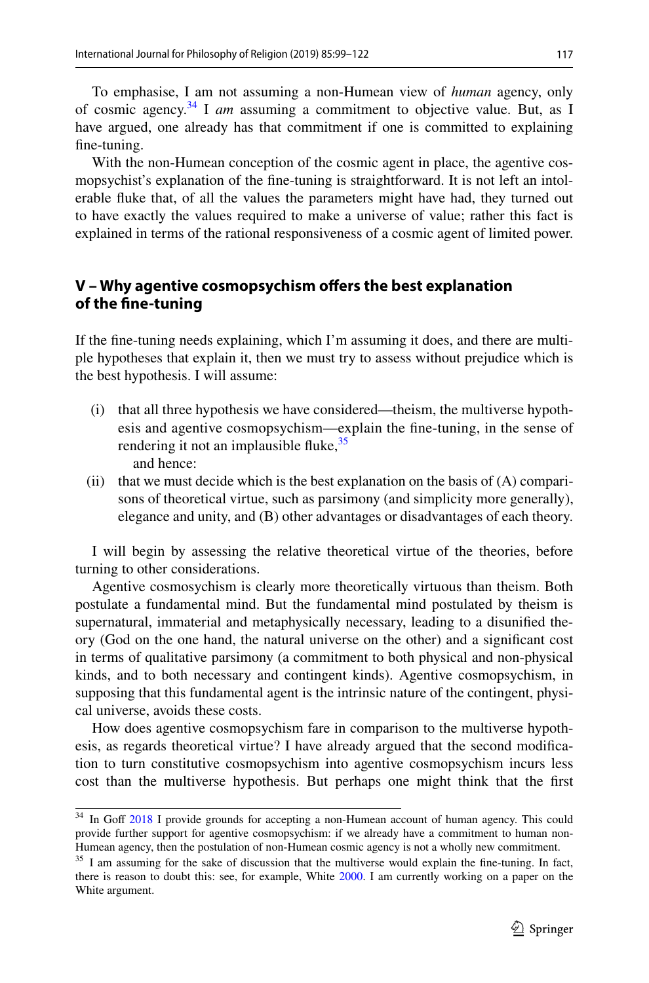To emphasise, I am not assuming a non-Humean view of *human* agency, only of cosmic agency.[34](#page-19-0) I *am* assuming a commitment to objective value. But, as I have argued, one already has that commitment if one is committed to explaining fne-tuning.

With the non-Humean conception of the cosmic agent in place, the agentive cosmopsychist's explanation of the fne-tuning is straightforward. It is not left an intolerable fuke that, of all the values the parameters might have had, they turned out to have exactly the values required to make a universe of value; rather this fact is explained in terms of the rational responsiveness of a cosmic agent of limited power.

### **V – Why agentive cosmopsychism ofers the best explanation of the fne‑tuning**

If the fne-tuning needs explaining, which I'm assuming it does, and there are multiple hypotheses that explain it, then we must try to assess without prejudice which is the best hypothesis. I will assume:

- (i) that all three hypothesis we have considered—theism, the multiverse hypothesis and agentive cosmopsychism—explain the fne-tuning, in the sense of rendering it not an implausible fluke,  $35$ and hence:
- (ii) that we must decide which is the best explanation on the basis of  $(A)$  comparisons of theoretical virtue, such as parsimony (and simplicity more generally), elegance and unity, and (B) other advantages or disadvantages of each theory.

I will begin by assessing the relative theoretical virtue of the theories, before turning to other considerations.

Agentive cosmosychism is clearly more theoretically virtuous than theism. Both postulate a fundamental mind. But the fundamental mind postulated by theism is supernatural, immaterial and metaphysically necessary, leading to a disunifed theory (God on the one hand, the natural universe on the other) and a signifcant cost in terms of qualitative parsimony (a commitment to both physical and non-physical kinds, and to both necessary and contingent kinds). Agentive cosmopsychism, in supposing that this fundamental agent is the intrinsic nature of the contingent, physical universe, avoids these costs.

How does agentive cosmopsychism fare in comparison to the multiverse hypothesis, as regards theoretical virtue? I have already argued that the second modifcation to turn constitutive cosmopsychism into agentive cosmopsychism incurs less cost than the multiverse hypothesis. But perhaps one might think that the frst

<span id="page-19-0"></span><sup>&</sup>lt;sup>34</sup> In Goff [2018](#page-23-24) I provide grounds for accepting a non-Humean account of human agency. This could provide further support for agentive cosmopsychism: if we already have a commitment to human non-Humean agency, then the postulation of non-Humean cosmic agency is not a wholly new commitment.

<span id="page-19-1"></span><sup>&</sup>lt;sup>35</sup> I am assuming for the sake of discussion that the multiverse would explain the fine-tuning. In fact, there is reason to doubt this: see, for example, White [2000.](#page-24-36) I am currently working on a paper on the White argument.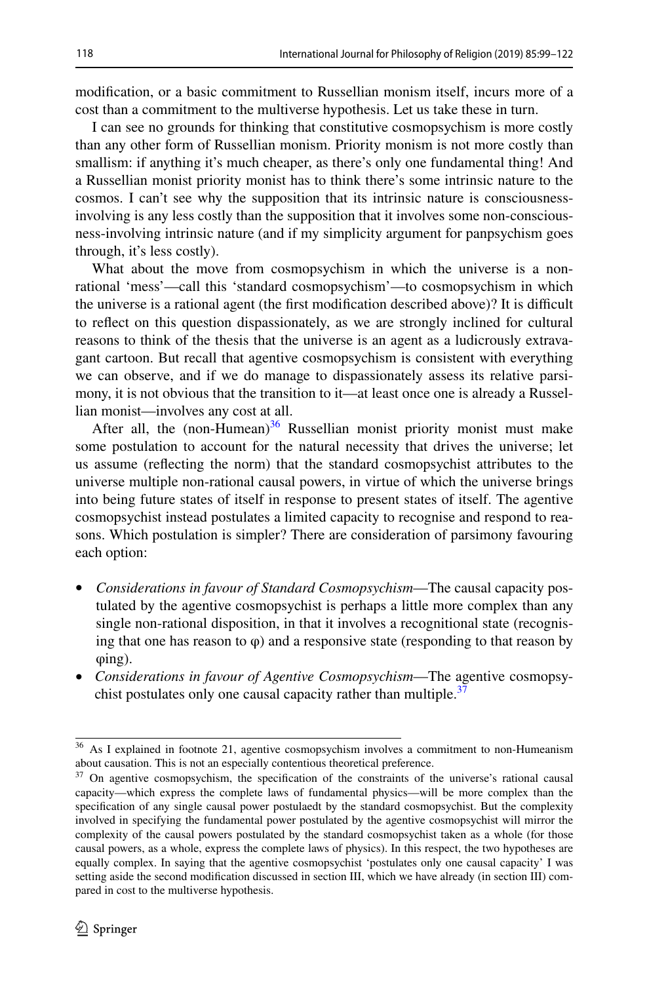modifcation, or a basic commitment to Russellian monism itself, incurs more of a cost than a commitment to the multiverse hypothesis. Let us take these in turn.

I can see no grounds for thinking that constitutive cosmopsychism is more costly than any other form of Russellian monism. Priority monism is not more costly than smallism: if anything it's much cheaper, as there's only one fundamental thing! And a Russellian monist priority monist has to think there's some intrinsic nature to the cosmos. I can't see why the supposition that its intrinsic nature is consciousnessinvolving is any less costly than the supposition that it involves some non-consciousness-involving intrinsic nature (and if my simplicity argument for panpsychism goes through, it's less costly).

What about the move from cosmopsychism in which the universe is a nonrational 'mess'—call this 'standard cosmopsychism'—to cosmopsychism in which the universe is a rational agent (the first modification described above)? It is difficult to refect on this question dispassionately, as we are strongly inclined for cultural reasons to think of the thesis that the universe is an agent as a ludicrously extravagant cartoon. But recall that agentive cosmopsychism is consistent with everything we can observe, and if we do manage to dispassionately assess its relative parsimony, it is not obvious that the transition to it—at least once one is already a Russellian monist—involves any cost at all.

After all, the  $(non-Humean)^{36}$  Russellian monist priority monist must make some postulation to account for the natural necessity that drives the universe; let us assume (refecting the norm) that the standard cosmopsychist attributes to the universe multiple non-rational causal powers, in virtue of which the universe brings into being future states of itself in response to present states of itself. The agentive cosmopsychist instead postulates a limited capacity to recognise and respond to reasons. Which postulation is simpler? There are consideration of parsimony favouring each option:

- *Considerations in favour of Standard Cosmopsychism*—The causal capacity postulated by the agentive cosmopsychist is perhaps a little more complex than any single non-rational disposition, in that it involves a recognitional state (recognising that one has reason to  $\varphi$ ) and a responsive state (responding to that reason by φing).
- *Considerations in favour of Agentive Cosmopsychism*—The agentive cosmopsy-chist postulates only one causal capacity rather than multiple.<sup>[37](#page-20-1)</sup>

<span id="page-20-0"></span><sup>&</sup>lt;sup>36</sup> As I explained in footnote 21, agentive cosmopsychism involves a commitment to non-Humeanism about causation. This is not an especially contentious theoretical preference.

<span id="page-20-1"></span><sup>&</sup>lt;sup>37</sup> On agentive cosmopsychism, the specification of the constraints of the universe's rational causal capacity—which express the complete laws of fundamental physics—will be more complex than the specifcation of any single causal power postulaedt by the standard cosmopsychist. But the complexity involved in specifying the fundamental power postulated by the agentive cosmopsychist will mirror the complexity of the causal powers postulated by the standard cosmopsychist taken as a whole (for those causal powers, as a whole, express the complete laws of physics). In this respect, the two hypotheses are equally complex. In saying that the agentive cosmopsychist 'postulates only one causal capacity' I was setting aside the second modifcation discussed in section III, which we have already (in section III) compared in cost to the multiverse hypothesis.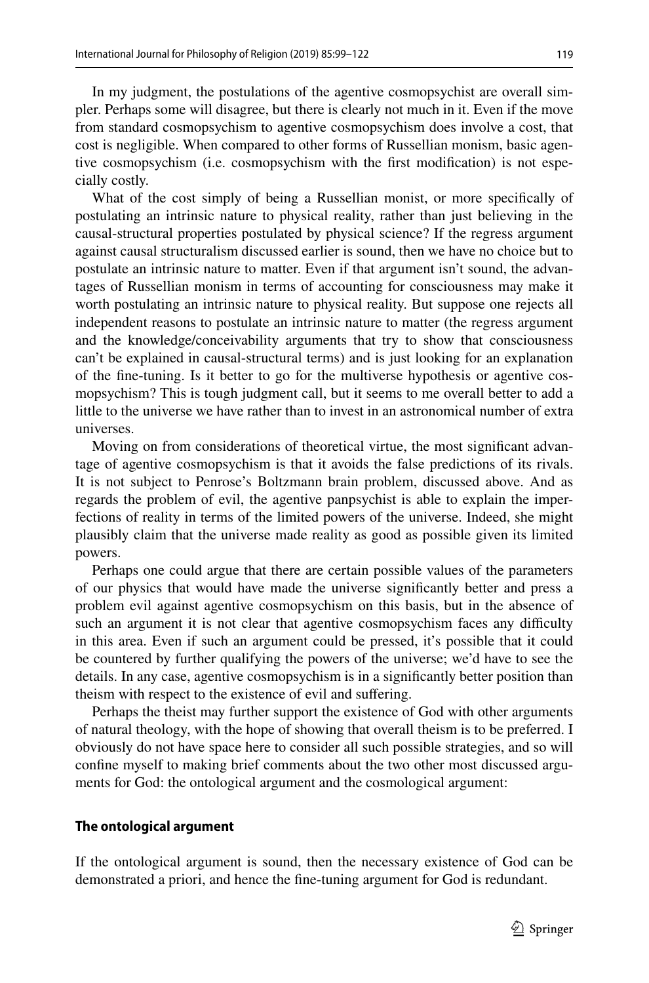In my judgment, the postulations of the agentive cosmopsychist are overall simpler. Perhaps some will disagree, but there is clearly not much in it. Even if the move from standard cosmopsychism to agentive cosmopsychism does involve a cost, that cost is negligible. When compared to other forms of Russellian monism, basic agentive cosmopsychism (i.e. cosmopsychism with the frst modifcation) is not especially costly.

What of the cost simply of being a Russellian monist, or more specifcally of postulating an intrinsic nature to physical reality, rather than just believing in the causal-structural properties postulated by physical science? If the regress argument against causal structuralism discussed earlier is sound, then we have no choice but to postulate an intrinsic nature to matter. Even if that argument isn't sound, the advantages of Russellian monism in terms of accounting for consciousness may make it worth postulating an intrinsic nature to physical reality. But suppose one rejects all independent reasons to postulate an intrinsic nature to matter (the regress argument and the knowledge/conceivability arguments that try to show that consciousness can't be explained in causal-structural terms) and is just looking for an explanation of the fne-tuning. Is it better to go for the multiverse hypothesis or agentive cosmopsychism? This is tough judgment call, but it seems to me overall better to add a little to the universe we have rather than to invest in an astronomical number of extra universes.

Moving on from considerations of theoretical virtue, the most signifcant advantage of agentive cosmopsychism is that it avoids the false predictions of its rivals. It is not subject to Penrose's Boltzmann brain problem, discussed above. And as regards the problem of evil, the agentive panpsychist is able to explain the imperfections of reality in terms of the limited powers of the universe. Indeed, she might plausibly claim that the universe made reality as good as possible given its limited powers.

Perhaps one could argue that there are certain possible values of the parameters of our physics that would have made the universe signifcantly better and press a problem evil against agentive cosmopsychism on this basis, but in the absence of such an argument it is not clear that agentive cosmopsychism faces any difficulty in this area. Even if such an argument could be pressed, it's possible that it could be countered by further qualifying the powers of the universe; we'd have to see the details. In any case, agentive cosmopsychism is in a signifcantly better position than theism with respect to the existence of evil and sufering.

Perhaps the theist may further support the existence of God with other arguments of natural theology, with the hope of showing that overall theism is to be preferred. I obviously do not have space here to consider all such possible strategies, and so will confne myself to making brief comments about the two other most discussed arguments for God: the ontological argument and the cosmological argument:

#### **The ontological argument**

If the ontological argument is sound, then the necessary existence of God can be demonstrated a priori, and hence the fne-tuning argument for God is redundant.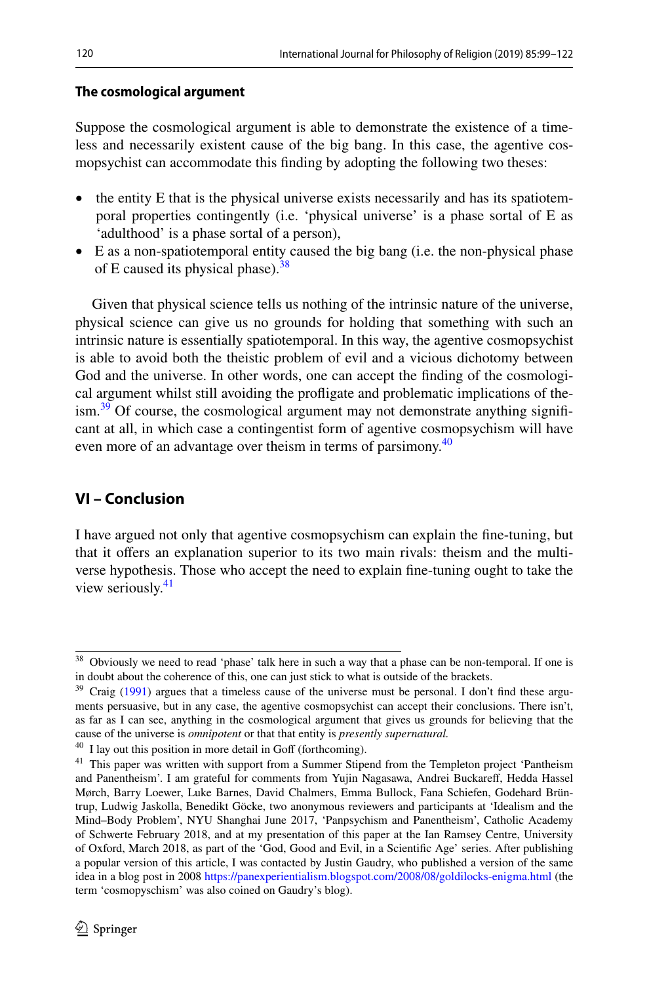#### **The cosmological argument**

Suppose the cosmological argument is able to demonstrate the existence of a timeless and necessarily existent cause of the big bang. In this case, the agentive cosmopsychist can accommodate this fnding by adopting the following two theses:

- the entity E that is the physical universe exists necessarily and has its spatiotemporal properties contingently (i.e. 'physical universe' is a phase sortal of E as 'adulthood' is a phase sortal of a person),
- E as a non-spatiotemporal entity caused the big bang (i.e. the non-physical phase of E caused its physical phase). $38$

Given that physical science tells us nothing of the intrinsic nature of the universe, physical science can give us no grounds for holding that something with such an intrinsic nature is essentially spatiotemporal. In this way, the agentive cosmopsychist is able to avoid both the theistic problem of evil and a vicious dichotomy between God and the universe. In other words, one can accept the fnding of the cosmological argument whilst still avoiding the profigate and problematic implications of the- $\lim_{n \to \infty} 39$  Of course, the cosmological argument may not demonstrate anything significant at all, in which case a contingentist form of agentive cosmopsychism will have even more of an advantage over theism in terms of parsimony.<sup>[40](#page-22-2)</sup>

### **VI – Conclusion**

I have argued not only that agentive cosmopsychism can explain the fne-tuning, but that it ofers an explanation superior to its two main rivals: theism and the multiverse hypothesis. Those who accept the need to explain fne-tuning ought to take the view seriously.<sup>[41](#page-22-3)</sup>

<span id="page-22-0"></span><sup>38</sup> Obviously we need to read 'phase' talk here in such a way that a phase can be non-temporal. If one is in doubt about the coherence of this, one can just stick to what is outside of the brackets.

<span id="page-22-1"></span> $39$  Craig ([1991\)](#page-23-25) argues that a timeless cause of the universe must be personal. I don't find these arguments persuasive, but in any case, the agentive cosmopsychist can accept their conclusions. There isn't, as far as I can see, anything in the cosmological argument that gives us grounds for believing that the cause of the universe is *omnipotent* or that that entity is *presently supernatural.*

<span id="page-22-2"></span> $40$  I lay out this position in more detail in Goff (forthcoming).

<span id="page-22-3"></span><sup>&</sup>lt;sup>41</sup> This paper was written with support from a Summer Stipend from the Templeton project 'Pantheism and Panentheism'. I am grateful for comments from Yujin Nagasawa, Andrei Buckaref, Hedda Hassel Mørch, Barry Loewer, Luke Barnes, David Chalmers, Emma Bullock, Fana Schiefen, Godehard Brüntrup, Ludwig Jaskolla, Benedikt Göcke, two anonymous reviewers and participants at 'Idealism and the Mind–Body Problem', NYU Shanghai June 2017, 'Panpsychism and Panentheism', Catholic Academy of Schwerte February 2018, and at my presentation of this paper at the Ian Ramsey Centre, University of Oxford, March 2018, as part of the 'God, Good and Evil, in a Scientifc Age' series. After publishing a popular version of this article, I was contacted by Justin Gaudry, who published a version of the same idea in a blog post in 2008 <https://panexperientialism.blogspot.com/2008/08/goldilocks-enigma.html>(the term 'cosmopyschism' was also coined on Gaudry's blog).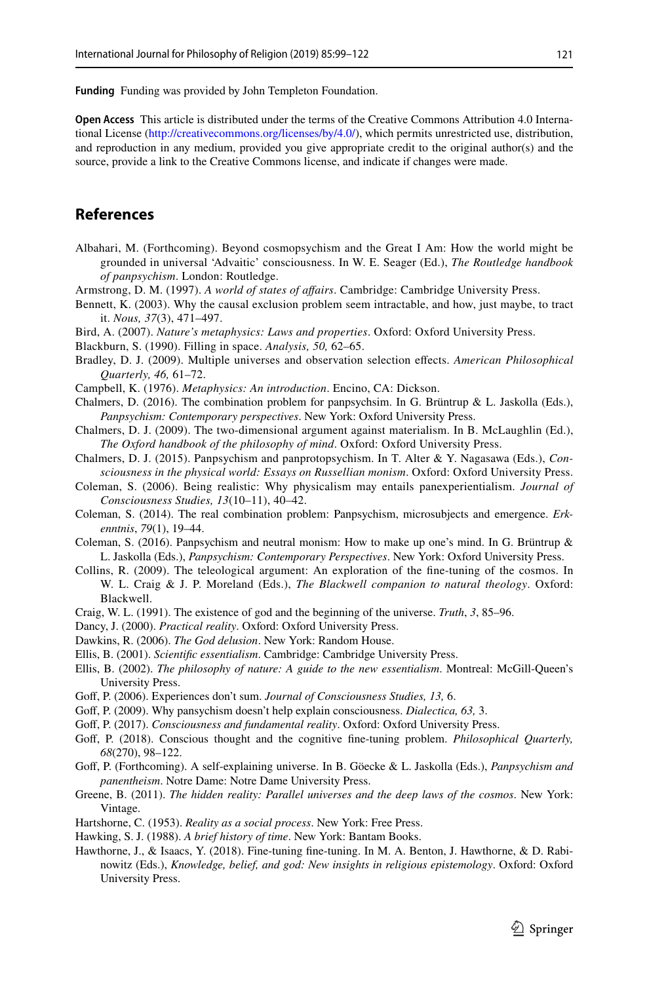**Funding** Funding was provided by John Templeton Foundation.

**Open Access** This article is distributed under the terms of the Creative Commons Attribution 4.0 International License ([http://creativecommons.org/licenses/by/4.0/\)](http://creativecommons.org/licenses/by/4.0/), which permits unrestricted use, distribution, and reproduction in any medium, provided you give appropriate credit to the original author(s) and the source, provide a link to the Creative Commons license, and indicate if changes were made.

### **References**

- Albahari, M. (Forthcoming). Beyond cosmopsychism and the Great I Am: How the world might be grounded in universal 'Advaitic' consciousness. In W. E. Seager (Ed.), *The Routledge handbook of panpsychism*. London: Routledge.
- <span id="page-23-5"></span>Armstrong, D. M. (1997). *A world of states of afairs*. Cambridge: Cambridge University Press.
- <span id="page-23-9"></span>Bennett, K. (2003). Why the causal exclusion problem seem intractable, and how, just maybe, to tract it. *Nous, 37*(3), 471–497.
- <span id="page-23-0"></span>Bird, A. (2007). *Nature's metaphysics: Laws and properties*. Oxford: Oxford University Press.
- <span id="page-23-4"></span>Blackburn, S. (1990). Filling in space. *Analysis, 50,* 62–65.
- <span id="page-23-20"></span>Bradley, D. J. (2009). Multiple universes and observation selection efects. *American Philosophical Quarterly, 46,* 61–72.
- <span id="page-23-3"></span>Campbell, K. (1976). *Metaphysics: An introduction*. Encino, CA: Dickson.
- <span id="page-23-14"></span>Chalmers, D. (2016). The combination problem for panpsychsim. In G. Brüntrup & L. Jaskolla (Eds.), *Panpsychism: Contemporary perspectives*. New York: Oxford University Press.
- <span id="page-23-7"></span>Chalmers, D. J. (2009). The two-dimensional argument against materialism. In B. McLaughlin (Ed.), *The Oxford handbook of the philosophy of mind*. Oxford: Oxford University Press.
- <span id="page-23-8"></span>Chalmers, D. J. (2015). Panpsychism and panprotopsychism. In T. Alter & Y. Nagasawa (Eds.), *Consciousness in the physical world: Essays on Russellian monism*. Oxford: Oxford University Press.
- <span id="page-23-15"></span>Coleman, S. (2006). Being realistic: Why physicalism may entails panexperientialism. *Journal of Consciousness Studies, 13*(10–11), 40–42.
- <span id="page-23-13"></span>Coleman, S. (2014). The real combination problem: Panpsychism, microsubjects and emergence. *Erkenntnis*, *79*(1), 19–44.
- <span id="page-23-10"></span>Coleman, S. (2016). Panpsychism and neutral monism: How to make up one's mind. In G. Brüntrup & L. Jaskolla (Eds.), *Panpsychism: Contemporary Perspectives*. New York: Oxford University Press.
- <span id="page-23-16"></span>Collins, R. (2009). The teleological argument: An exploration of the fne-tuning of the cosmos. In W. L. Craig & J. P. Moreland (Eds.), *The Blackwell companion to natural theology*. Oxford: Blackwell.
- <span id="page-23-25"></span>Craig, W. L. (1991). The existence of god and the beginning of the universe. *Truth*, *3*, 85–96.
- <span id="page-23-22"></span>Dancy, J. (2000). *Practical reality*. Oxford: Oxford University Press.
- <span id="page-23-23"></span>Dawkins, R. (2006). *The God delusion*. New York: Random House.
- <span id="page-23-1"></span>Ellis, B. (2001). *Scientifc essentialism*. Cambridge: Cambridge University Press.
- <span id="page-23-2"></span>Ellis, B. (2002). *The philosophy of nature: A guide to the new essentialism*. Montreal: McGill-Queen's University Press.
- <span id="page-23-11"></span>Gof, P. (2006). Experiences don't sum. *Journal of Consciousness Studies, 13,* 6.
- <span id="page-23-12"></span>Gof, P. (2009). Why pansychism doesn't help explain consciousness. *Dialectica, 63,* 3.
- <span id="page-23-6"></span>Gof, P. (2017). *Consciousness and fundamental reality*. Oxford: Oxford University Press.
- <span id="page-23-24"></span>Gof, P. (2018). Conscious thought and the cognitive fne-tuning problem. *Philosophical Quarterly, 68*(270), 98–122.
- Gof, P. (Forthcoming). A self-explaining universe. In B. Göecke & L. Jaskolla (Eds.), *Panpsychism and panentheism*. Notre Dame: Notre Dame University Press.
- <span id="page-23-19"></span>Greene, B. (2011). *The hidden reality: Parallel universes and the deep laws of the cosmos*. New York: Vintage.
- <span id="page-23-18"></span>Hartshorne, C. (1953). *Reality as a social process*. New York: Free Press.
- <span id="page-23-21"></span>Hawking, S. J. (1988). *A brief history of time*. New York: Bantam Books.
- <span id="page-23-17"></span>Hawthorne, J., & Isaacs, Y. (2018). Fine-tuning fne-tuning. In M. A. Benton, J. Hawthorne, & D. Rabinowitz (Eds.), *Knowledge, belief, and god: New insights in religious epistemology*. Oxford: Oxford University Press.